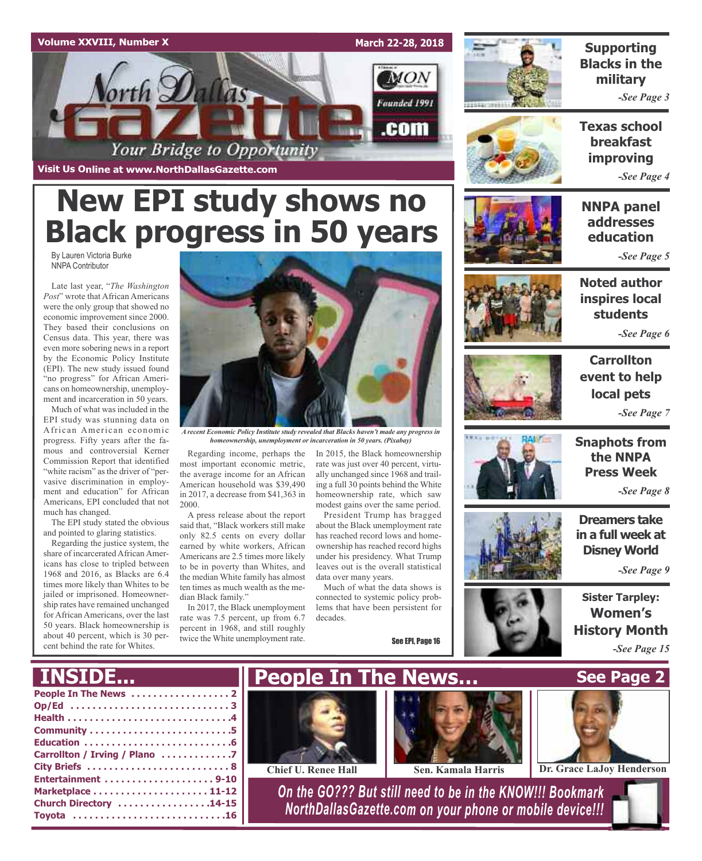

## **New EPI study shows no Black progress in 50 years**

By Lauren Victoria Burke NNPA Contributor

Late last year, "*The Washington Post*" wrote that African Americans were the only group that showed no economic improvement since 2000. They based their conclusions on Census data. This year, there was even more sobering news in a report by the Economic Policy Institute (EPI). The new study issued found "no progress" for African Americans on homeownership, unemployment and incarceration in 50 years.

Much of what was included in the EPI study was stunning data on African American economic progress. Fifty years after the famous and controversial Kerner Commission Report that identified "white racism" as the driver of "pervasive discrimination in employment and education" for African Americans, EPI concluded that not much has changed.

The EPI study stated the obvious and pointed to glaring statistics.

Regarding the justice system, the share of incarcerated African Americans has close to tripled between 1968 and 2016, as Blacks are 6.4 times more likely than Whites to be jailed or imprisoned. Homeownership rates have remained unchanged for African Americans, over the last 50 years. Black homeownership is about 40 percent, which is 30 percent behind the rate for Whites.



*A recent Economic Policy Institute study revealed that Blacks haven't made any progress in homeownership, unemployment or incarceration in 50 years. (Pixabay)*

Regarding income, perhaps the most important economic metric, the average income for an African American household was \$39,490 in 2017, a decrease from \$41,363 in 2000.

A press release about the report said that, "Black workers still make only 82.5 cents on every dollar earned by white workers, African Americans are 2.5 times more likely to be in poverty than Whites, and the median White family has almost ten times as much wealth as the median Black family."

In 2017, the Black unemployment rate was 7.5 percent, up from 6.7 percent in 1968, and still roughly twice the White unemployment rate.

In 2015, the Black homeownership rate was just over 40 percent, virtually unchanged since 1968 and trailing a full 30 points behind the White homeownership rate, which saw modest gains over the same period.

President Trump has bragged about the Black unemployment rate has reached record lows and homeownership has reached record highs under his presidency. What Trump leaves out is the overall statistical data over many years.

Much of what the data shows is connected to systemic policy problems that have been persistent for decades.

See EPI, Page 16



**Supporting Blacks in the military**

*-See Page 3*

**Texas school breakfast improving**

*-See Page 4*

**NNPA panel addresses education**

*-See Page 5*



*-See Page 6*



**Carrollton event to help local pets** *-See Page 7*



**Snaphots from the NNPA Press Week** *-See Page 8*

**Dreamers take in a full week at Disney World**

*-See Page 9*

**Sister Tarpley: Women's History Month** *-See Page 15*

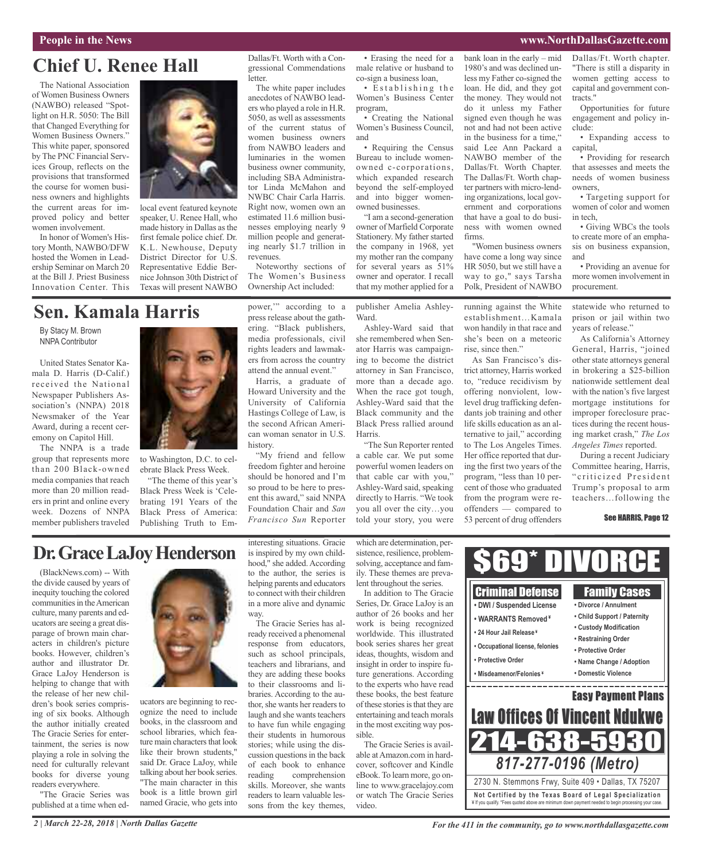#### **People in the News www.NorthDallasGazette.com**

## **Chief U. Renee Hall**

The National Association of Women Business Owners (NAWBO) released "Spotlight on H.R. 5050: The Bill that Changed Everything for Women Business Owners." This white paper, sponsored by The PNC Financial Services Group, reflects on the provisions that transformed the course for women business owners and highlights the current areas for improved policy and better women involvement.

In honor of Women's History Month, NAWBO/DFW hosted the Women in Leadership Seminar on March 20 at the Bill J. Priest Business Innovation Center. This



local event featured keynote speaker, U. Renee Hall, who made history in Dallas asthe first female police chief. Dr. K.L. Newhouse, Deputy District Director for U.S. Representative Eddie Bernice Johnson 30th District of Texas will present NAWBO

## **Sen. Kamala Harris**

By Stacy M. Brown NNPA Contributor

United States Senator Kamala D. Harris (D-Calif.) received the National Newspaper Publishers Association's (NNPA) 2018 Newsmaker of the Year Award, during a recent ceremony on Capitol Hill.

The NNPA is a trade group that represents more than 200 Black-owned media companies that reach more than 20 million readers in print and online every week. Dozens of NNPA member publishers traveled



to Washington, D.C. to celebrate Black Press Week.

"The theme of this year's Black Press Week is 'Celebrating 191 Years of the Black Press of America: Publishing Truth to Empower,'" according to a press release about the gathering. "Black publishers, media professionals, civil rights leaders and lawmakers from across the country attend the annual event."

Noteworthy sections of The Women's Business Ownership Act included:

Dallas/Ft. Worth with a Congressional Commendations

The white paper includes anecdotes of NAWBO leaders who played a role in H.R. 5050, as well as assessments of the current status of women business owners from NAWBO leaders and luminaries in the women business owner community, including SBA Administrator Linda McMahon and NWBC Chair Carla Harris. Right now, women own an estimated 11.6 million businesses employing nearly 9 million people and generating nearly \$1.7 trillion in

letter.

revenues.

Harris, a graduate of Howard University and the University of California Hastings College of Law, is the second African American woman senator in U.S. history.

"My friend and fellow freedom fighter and heroine should be honored and I'm so proud to be here to present this award," said NNPA Foundation Chair and *San Francisco Sun* Reporter

• Erasing the need for a male relative or husband to co-sign a business loan, • Establishing the

Women's Business Center program, • Creating the National Women's Business Council, and

• Requiring the Census Bureau to include womenowned c-corporations, which expanded research beyond the self-employed and into bigger womenowned businesses.

"I am a second-generation owner of Marfield Corporate Stationery. My father started the company in 1968, yet my mother ran the company for several years as 51% owner and operator. I recall that my mother applied for a

publisher Amelia Ashley-Ward.

Ashley-Ward said that she remembered when Senator Harris was campaigning to become the district attorney in San Francisco, more than a decade ago. When the race got tough, Ashley-Ward said that the Black community and the Black Press rallied around Harris.

"The Sun Reporter rented a cable car. We put some powerful women leaders on that cable car with you," Ashley-Ward said, speaking directly to Harris. "We took you all over the city…you told your story, you were

bank loan in the early – mid 1980's and was declined unless my Father co-signed the loan. He did, and they got the money. They would not do it unless my Father signed even though he was not and had not been active in the business for a time," said Lee Ann Packard a NAWBO member of the Dallas/Ft. Worth Chapter. The Dallas/Ft. Worth chapter partners with micro-lending organizations, local government and corporations that have a goal to do business with women owned firms.

"Women business owners have come a long way since HR 5050, but we still have a way to go," says Tarsha Polk, President of NAWBO

running against the White establishment…Kamala won handily in that race and she's been on a meteoric rise, since then."

As San Francisco's district attorney, Harris worked to, "reduce recidivism by offering nonviolent, lowlevel drug trafficking defendants job training and other life skills education as an alternative to jail," according to The Los Angeles Times. Her office reported that during the first two years of the program, "less than 10 percent of those who graduated from the program were reoffenders — compared to 53 percent of drug offenders

Dallas/Ft. Worth chapter. "There is still a disparity in women getting access to capital and government contracts."

Opportunities for future engagement and policy include:

• Expanding access to capital,

• Providing for research that assesses and meets the needs of women business owners,

• Targeting support for women of color and women in tech,

• Giving WBCs the tools to create more of an emphasis on business expansion, and

• Providing an avenue for more women involvement in procurement.

statewide who returned to prison or jail within two years of release."

As California's Attorney General, Harris, "joined other state attorneys general in brokering a \$25-billion nationwide settlement deal with the nation's five largest mortgage institutions for improper foreclosure practices during the recent housing market crash," *The Los Angeles Times* reported.

During a recent Judiciary Committee hearing, Harris, " criticized President Trump's proposal to arm teachers…following the

#### See HARRIS, Page 12

## **Dr.GraceLaJoyHenderson**

(BlackNews.com) -- With the divide caused by years of inequity touching the colored communities in the American culture, many parents and educators are seeing a great disparage of brown main characters in children's picture books. However, children's author and illustrator Dr. Grace LaJoy Henderson is helping to change that with the release of her new children's book series comprising of six books. Although the author initially created The Gracie Series for entertainment, the series is now playing a role in solving the need for culturally relevant books for diverse young readers everywhere.

"The Gracie Series was published at a time when ed-



ucators are beginning to recognize the need to include books, in the classroom and school libraries, which feature main characters that look like their brown students," said Dr. Grace LaJoy, while talking about her book series. "The main character in this book is a little brown girl named Gracie, who gets into interesting situations. Gracie is inspired by my own childhood," she added. According to the author, the series is helping parents and educators to connect with their children in a more alive and dynamic way.

The Gracie Series has already received a phenomenal response from educators, such as school principals, teachers and librarians, and they are adding these books to their classrooms and libraries. According to the author, she wants her readers to laugh and she wants teachers to have fun while engaging their students in humorous stories; while using the discussion questions in the back of each book to enhance reading comprehension skills. Moreover, she wants readers to learn valuable lessons from the key themes,

which are determination, persistence, resilience, problemsolving, acceptance and family. These themes are prevalent throughout the series.

In addition to The Gracie Series, Dr. Grace LaJoy is an author of 26 books and her work is being recognized worldwide. This illustrated book series shares her great ideas, thoughts, wisdom and insight in order to inspire future generations. According to the experts who have read these books, the best feature of these stories is that they are entertaining and teach morals in the most exciting way possible.

The Gracie Series is available atAmazon.com in hardcover, softcover and Kindle eBook.To learn more, go online to www.gracelajoy.com or watch The Gracie Series video.

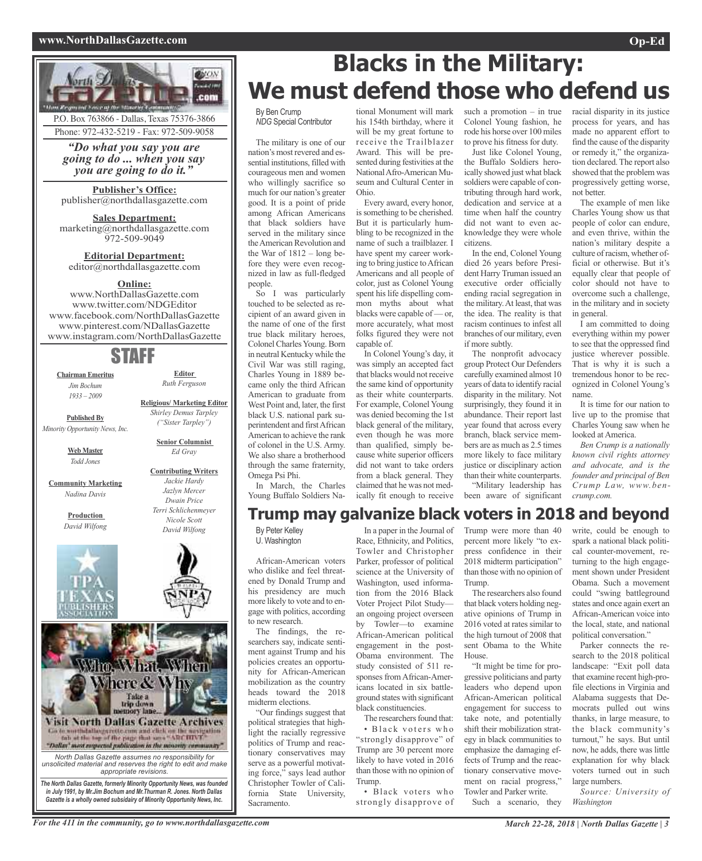#### **www.NorthDallasGazette.com Op-Ed**



*"Do what you say you are going to do ... when you say you are going to do it."*

**Publisher's Office:** publisher@northdallasgazette.com

**Sales Department:** marketing@northdallasgazette.com 972-509-9049

**Editorial Department:** editor@northdallasgazette.com

## **Online:**

www.NorthDallasGazette.com www.twitter.com/NDGEditor www.facebook.com/NorthDallasGazette www.pinterest.com/NDallasGazette www.instagram.com/NorthDallasGazette

## STAFF

**Chairman Emeritus** *Jim Bochum 1933 – 2009*

**Editor** *Ruth Ferguson*

**Published By** *Minority Opportunity News, Inc.*

> **Web Master** *Todd Jones*

**Community Marketing** *Nadina Davis*

> **Production** *David Wilfong*





**Religious/ Marketing Editor** *Shirley Demus Tarpley ("Sister Tarpley")*

> **Senior Columnist** *Ed Gray*

## **Contributing Writers** *Jackie Hardy*





*The North Dallas Gazette, formerly Minority Opportunity News, was founded in July 1991, by Mr.Jim Bochum and Mr.Thurman R. Jones. North Dallas Gazette is a wholly owned subsidairy of Minority Opportunity News, Inc.*

## **Blacks in the Military: We must defend those who defend us**

By Ben Crump *NDG* Special Contributor

The military is one of our nation's most revered and essential institutions, filled with courageous men and women who willingly sacrifice so much for our nation's greater good. It is a point of pride among African Americans that black soldiers have served in the military since theAmerican Revolution and the War of 1812 – long before they were even recognized in law as full-fledged people.

So I was particularly touched to be selected as recipient of an award given in the name of one of the first true black military heroes, Colonel Charles Young. Born in neutral Kentucky while the Civil War was still raging, Charles Young in 1889 became only the third African American to graduate from West Point and, later, the first black U.S. national park superintendent and firstAfrican American to achieve the rank of colonel in the U.S. Army. We also share a brotherhood through the same fraternity, Omega Psi Phi. In March, the Charles

Young Buffalo Soldiers Na-

tional Monument will mark his 154th birthday, where it will be my great fortune to receive the Trailblazer Award. This will be presented during festivities at the NationalAfro-American Museum and Cultural Center in Ohio.

Every award, every honor, is something to be cherished. But it is particularly humbling to be recognized in the name of such a trailblazer. I have spent my career working to bring justice toAfrican Americans and all people of color, just as Colonel Young spent his life dispelling common myths about what blacks were capable of — or, more accurately, what most folks figured they were not capable of.

In Colonel Young's day, it was simply an accepted fact that blacks would not receive the same kind of opportunity as their white counterparts. For example, Colonel Young was denied becoming the 1st black general of the military, even though he was more than qualified, simply because white superior officers did not want to take orders from a black general. They claimed that he was not medically fit enough to receive such a promotion – in true Colonel Young fashion, he rode his horse over 100 miles to prove his fitness for duty. Just like Colonel Young,

the Buffalo Soldiers heroically showed just what black soldiers were capable of contributing through hard work, dedication and service at a time when half the country did not want to even acknowledge they were whole citizens.

In the end, Colonel Young died 26 years before President Harry Truman issued an executive order officially ending racial segregation in the military.At least, that was the idea. The reality is that racism continues to infest all branches of our military, even if more subtly.

The nonprofit advocacy group Protect Our Defenders carefully examined almost 10 years of data to identify racial disparity in the military. Not surprisingly, they found it in abundance. Their report last year found that across every branch, black service members are as much as 2.5 times more likely to face military justice or disciplinary action than their white counterparts. "Military leadership has been aware of significant

racial disparity in its justice process for years, and has made no apparent effort to find the cause of the disparity or remedy it," the organization declared. The report also showed that the problem was progressively getting worse, not better.

The example of men like Charles Young show us that people of color can endure, and even thrive, within the nation's military despite a culture of racism, whether official or otherwise. But it's equally clear that people of color should not have to overcome such a challenge, in the military and in society in general.

I am committed to doing everything within my power to see that the oppressed find justice wherever possible. That is why it is such a tremendous honor to be recognized in Colonel Young's name.

It is time for our nation to live up to the promise that Charles Young saw when he looked at America.

*Ben Crump is a nationally known civil rights attorney and advocate, and is the founder and principal of Ben Crump Law, www.bencrump.com.*

## **Trump may galvanize black voters in 2018 and beyond**

By Peter Kelley U. Washington

African-American voters who dislike and feel threatened by Donald Trump and his presidency are much more likely to vote and to engage with politics, according to new research.

The findings, the researchers say, indicate sentiment against Trump and his policies creates an opportunity for African-American mobilization as the country heads toward the 2018 midterm elections.

"Our findings suggest that political strategies that highlight the racially regressive politics of Trump and reactionary conservatives may serve as a powerful motivating force," says lead author Christopher Towler of California State University, Sacramento.

In a paper in the Journal of Race, Ethnicity, and Politics, Towler and Christopher Parker, professor of political science at the University of Washington, used information from the 2016 Black Voter Project Pilot Study an ongoing project overseen by Towler—to examine African-American political engagement in the post-Obama environment. The study consisted of 511 responses fromAfrican-Americans located in six battleground states with significant black constituencies.

The researchers found that: • Black voters who "strongly disapprove" of Trump are 30 percent more likely to have voted in 2016 than those with no opinion of Trump.

• Black voters who strongly disapprove of Trump were more than 40 percent more likely "to express confidence in their 2018 midterm participation" than those with no opinion of Trump.

The researchers also found that black voters holding negative opinions of Trump in 2016 voted at rates similar to the high turnout of 2008 that sent Obama to the White House.

"It might be time for progressive politicians and party leaders who depend upon African-American political engagement for success to take note, and potentially shift their mobilization strategy in black communities to emphasize the damaging effects of Trump and the reactionary conservative movement on racial progress,' Towler and Parker write.

Such a scenario, they

write, could be enough to spark a national black political counter-movement, returning to the high engagement shown under President Obama. Such a movement could "swing battleground states and once again exert an African-American voice into the local, state, and national political conversation."

Parker connects the research to the 2018 political landscape: "Exit poll data that examine recent high-profile elections in Virginia and Alabama suggests that Democrats pulled out wins thanks, in large measure, to the black community's turnout," he says. But until now, he adds, there was little explanation for why black voters turned out in such large numbers.

*Source: University of Washington*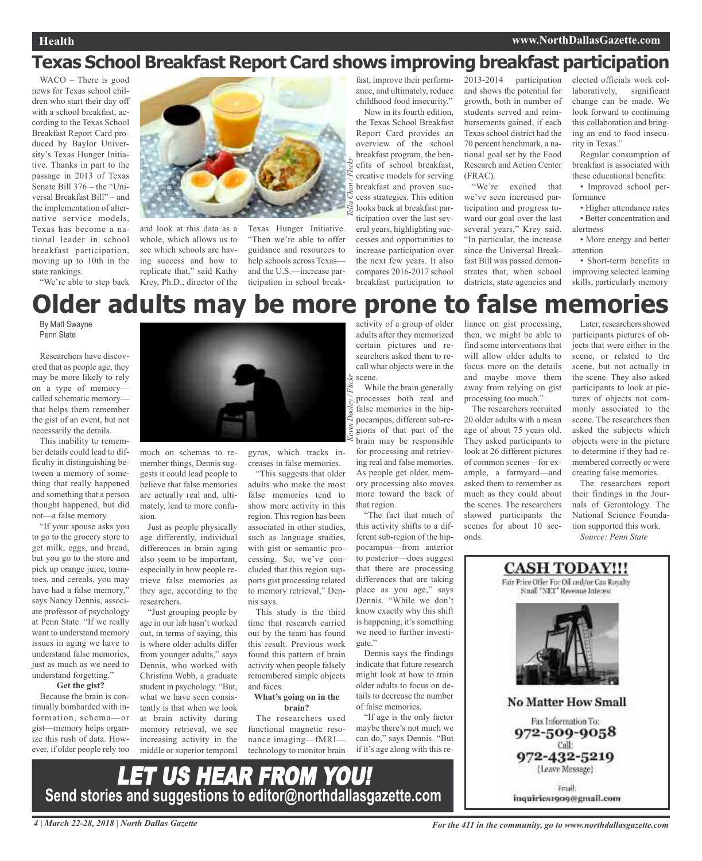#### **Health www.NorthDallasGazette.com**

## **Texas School Breakfast Report Card shows improving breakfast participation**

WACO – There is good news for Texas school children who start their day off with a school breakfast, according to the Texas School Breakfast Report Card produced by Baylor University's Texas Hunger Initiative. Thanks in part to the passage in 2013 of Texas Senate Bill 376 – the "Universal Breakfast Bill" – and the implementation of alternative service models, Texas has become a national leader in school breakfast participation, moving up to 10th in the state rankings.

"We're able to step back

and look at this data as a whole, which allows us to see which schools are having success and how to replicate that," said Kathy Krey, Ph.D., director of the

Texas Hunger Initiative. "Then we're able to offer guidance and resources to help schools across Texas and the U.S.—increase participation in school break-

fast, improve their performance, and ultimately, reduce childhood food insecurity."

Now in its fourth edition, the Texas School Breakfast Report Card provides an overview of the school breakfast program, the benefits of school breakfast, creative models for serving breakfast and proven success strategies. This edition looks back at breakfast participation over the last several years, highlighting successes and opportunities to increase participation over the next few years. It also compares 2016-2017 school breakfast participation to

2013-2014 participation and shows the potential for growth, both in number of students served and reimbursements gained, if each Texas school district had the 70 percent benchmark, a national goal set by the Food Research and Action Center (FRAC).

"We're excited that we've seen increased participation and progress toward our goal over the last several years," Krey said. "In particular, the increase since the Universal Breakfast Bill was passed demonstrates that, when school districts, state agencies and

elected officials work collaboratively, significant change can be made. We look forward to continuing this collaboration and bringing an end to food insecurity in Texas."

Regular consumption of breakfast is associated with these educational benefits:

• Improved school performance

• Higher attendance rates • Better concentration and alertness

• More energy and better attention

• Short-term benefits in improving selected learning skills, particularly memory

## **Older adults** may be more prone to

By Matt Swayne Penn State

Researchers have discovered that as people age, they may be more likely to rely on a type of memory called schematic memory that helps them remember the gist of an event, but not necessarily the details.

This inability to remember details could lead to difficulty in distinguishing between a memory of something that really happened and something that a person thought happened, but did not—a false memory.

"If your spouse asks you to go to the grocery store to get milk, eggs, and bread, but you go to the store and pick up orange juice, tomatoes, and cereals, you may have had a false memory," says Nancy Dennis, associate professor of psychology at Penn State. "If we really want to understand memory issues in aging we have to understand false memories, just as much as we need to understand forgetting."

## **Get the gist?**

Because the brain is continually bombarded with information, schema—or gist—memory helps organize this rush of data. However, if older people rely too



much on schemas to remember things, Dennis suggests it could lead people to believe that false memories are actually real and, ultimately, lead to more confusion.

Just as people physically age differently, individual differences in brain aging also seem to be important, especially in how people retrieve false memories as they age, according to the researchers.

"Just grouping people by age in our lab hasn't worked out, in terms of saying, this is where older adults differ from younger adults," says Dennis, who worked with Christina Webb, a graduate student in psychology. "But, what we have seen consistently is that when we look at brain activity during memory retrieval, we see increasing activity in the middle or superior temporal

gyrus, which tracks in-

creases in false memories.

"This suggests that older adults who make the most false memories tend to show more activity in this region. This region has been associated in other studies, such as language studies, with gist or semantic processing. So, we've concluded that this region supports gist processing related to memory retrieval," Dennis says.

This study is the third time that research carried out by the team has found this result. Previous work found this pattern of brain activity when people falsely remembered simple objects and faces.

#### **What's going on in the brain?**

The researchers used functional magnetic resonance imaging—fMRI technology to monitor brain

LET US HEAR FROM YOU!

**Send stories and suggestions to editor@northdallasgazette.com**

activity of a group of older adults after they memorized certain pictures and researchers asked them to recall what objects were in the scene.

While the brain generally processes both real and false memories in the hippocampus, different sub-regions of that part of the brain may be responsible for processing and retrieving real and false memories. As people get older, memory processing also moves more toward the back of that region.

"The fact that much of this activity shifts to a different sub-region of the hippocampus—from anterior to posterior—does suggest that there are processing differences that are taking place as you age," says Dennis. "While we don't know exactly why this shift is happening, it's something we need to further investigate."

Dennis says the findings indicate that future research might look at how to train older adults to focus on details to decrease the number of false memories.

"If age is the only factor maybe there's not much we can do," says Dennis. "But if it's age along with this reliance on gist processing, then, we might be able to find some interventions that will allow older adults to focus more on the details and maybe move them away from relying on gist processing too much."

The researchers recruited 20 older adults with a mean age of about 75 years old. They asked participants to look at 26 different pictures of common scenes—for example, a farmyard—and asked them to remember as much as they could about the scenes. The researchers showed participants the scenes for about 10 seconds.

Later, researchers showed participants pictures of objects that were either in the scene, or related to the scene, but not actually in the scene. They also asked participants to look at pictures of objects not commonly associated to the scene. The researchers then asked the subjects which objects were in the picture to determine if they had remembered correctly or were creating false memories.

The researchers report their findings in the Journals of Gerontology. The National Science Foundation supported this work. *Source: Penn State*



*Kevin Dooley / Flickr Tella Chen / Flickr*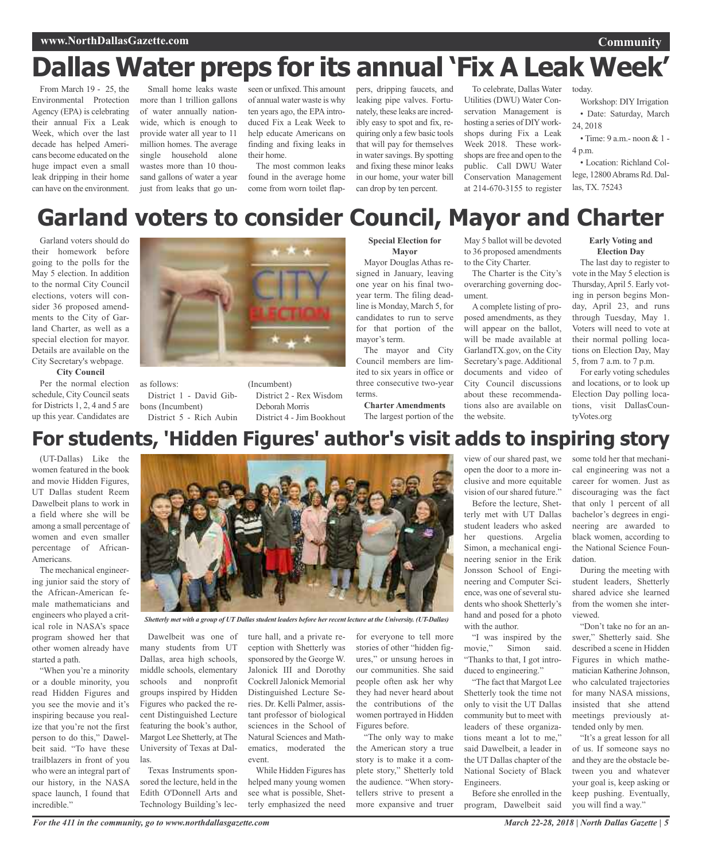## **www.NorthDallasGazette.com**

## **Dallas Water preps for its annual 'Fix A Leak Week'**

From March 19 - 25, the Environmental Protection Agency (EPA) is celebrating their annual Fix a Leak Week, which over the last decade has helped Americans become educated on the huge impact even a small leak dripping in their home can have on the environment. more than 1 trillion gallons of water annually nationwide, which is enough to provide water all year to 11 million homes. The average single household alone wastes more than 10 thousand gallons of water a year just from leaks that go un-

Small home leaks waste seen or unfixed. This amount of annual water waste is why ten years ago, the EPA introduced Fix a Leak Week to help educate Americans on finding and fixing leaks in their home.

The most common leaks found in the average home come from worn toilet flappers, dripping faucets, and leaking pipe valves. Fortunately, these leaks are incredibly easy to spot and fix, requiring only a few basic tools that will pay for themselves in water savings. By spotting and fixing these minor leaks in our home, your water bill can drop by ten percent.

To celebrate, Dallas Water Utilities (DWU) Water Conservation Management is hosting a series of DIY workshops during Fix a Leak Week 2018. These workshops are free and open to the public. Call DWU Water Conservation Management at 214-670-3155 to register

today.

Workshop: DIY Irrigation • Date: Saturday, March 24, 2018

**Community**

• Time: 9 a.m.- noon & 1 - 4 p.m.

• Location: Richland College, 12800Abrams Rd. Dallas, TX. 75243

## **Garland voters to consider Council, Mayor and Charter**

Garland voters should do their homework before going to the polls for the May 5 election. In addition to the normal City Council elections, voters will consider 36 proposed amendments to the City of Garland Charter, as well as a special election for mayor. Details are available on the City Secretary's webpage.

#### **City Council**

Per the normal election schedule, City Council seats for Districts 1, 2, 4 and 5 are up this year. Candidates are



as follows: District 1 - David Gibbons (Incumbent) District 5 - Rich Aubin

(Incumbent) District 2 - Rex Wisdom Deborah Morris District 4 - Jim Bookhout

#### **Special Election for Mayor**

Mayor Douglas Athas resigned in January, leaving one year on his final twoyear term. The filing deadline is Monday, March 5, for candidates to run to serve for that portion of the mayor's term.

The mayor and City Council members are limited to six years in office or three consecutive two-year terms.

#### **Charter Amendments** The largest portion of the

May 5 ballot will be devoted to 36 proposed amendments to the City Charter.

The Charter is the City's overarching governing document.

A complete listing of proposed amendments, as they will appear on the ballot, will be made available at GarlandTX.gov, on the City Secretary's page.Additional documents and video of City Council discussions about these recommendations also are available on the website.

**Early Voting and Election Day**

The last day to register to vote in the May 5 election is Thursday,April 5. Early voting in person begins Monday, April 23, and runs through Tuesday, May 1. Voters will need to vote at their normal polling locations on Election Day, May 5, from 7 a.m. to 7 p.m.

For early voting schedules and locations, or to look up Election Day polling locations, visit DallasCountyVotes.org

## **For students, 'Hidden Figures' author's visit adds to inspiring story**

(UT-Dallas) Like the women featured in the book and movie Hidden Figures, UT Dallas student Reem Dawelbeit plans to work in a field where she will be among a small percentage of women and even smaller percentage of African-Americans.

The mechanical engineering junior said the story of the African-American female mathematicians and engineers who played a critical role in NASA's space program showed her that other women already have started a path.

"When you're a minority or a double minority, you read Hidden Figures and you see the movie and it's inspiring because you realize that you're not the first person to do this," Dawelbeit said. "To have these trailblazers in front of you who were an integral part of our history, in the NASA space launch, I found that incredible."



Shetterly met with a group of UT Dallas student leaders before her recent lecture at the University. (UT-Dallas)

Dawelbeit was one of many students from UT Dallas, area high schools, middle schools, elementary schools and nonprofit groups inspired by Hidden Figures who packed the recent Distinguished Lecture featuring the book's author, Margot Lee Shetterly, at The University of Texas at Dallas.

Texas Instruments sponsored the lecture, held in the Edith O'Donnell Arts and Technology Building's lecture hall, and a private reception with Shetterly was sponsored by the George W. Jalonick III and Dorothy Cockrell Jalonick Memorial Distinguished Lecture Series. Dr. Kelli Palmer, assistant professor of biological sciences in the School of Natural Sciences and Mathematics, moderated the event.

While Hidden Figures has helped many young women see what is possible, Shetterly emphasized the need

for everyone to tell more stories of other "hidden figures," or unsung heroes in our communities. She said people often ask her why they had never heard about the contributions of the women portrayed in Hidden Figures before.

"The only way to make the American story a true story is to make it a complete story," Shetterly told the audience. "When storytellers strive to present a more expansive and truer

view of our shared past, we open the door to a more inclusive and more equitable vision of our shared future." Before the lecture, Shetterly met with UT Dallas student leaders who asked her questions. Argelia Simon, a mechanical engineering senior in the Erik Jonsson School of Engineering and Computer Science, was one of several students who shook Shetterly's hand and posed for a photo with the author.

"I was inspired by the movie," Simon said. "Thanks to that, I got introduced to engineering."

"The fact that Margot Lee Shetterly took the time not only to visit the UT Dallas community but to meet with leaders of these organizations meant a lot to me," said Dawelbeit, a leader in the UT Dallas chapter of the National Society of Black Engineers.

Before she enrolled in the program, Dawelbeit said

some told her that mechanical engineering was not a career for women. Just as discouraging was the fact that only 1 percent of all bachelor's degrees in engineering are awarded to black women, according to the National Science Foundation.

During the meeting with student leaders, Shetterly shared advice she learned from the women she interviewed.

"Don't take no for an answer," Shetterly said. She described a scene in Hidden Figures in which mathematician Katherine Johnson, who calculated trajectories for many NASA missions, insisted that she attend meetings previously attended only by men.

"It's a great lesson for all of us. If someone says no and they are the obstacle between you and whatever your goal is, keep asking or keep pushing. Eventually, you will find a way."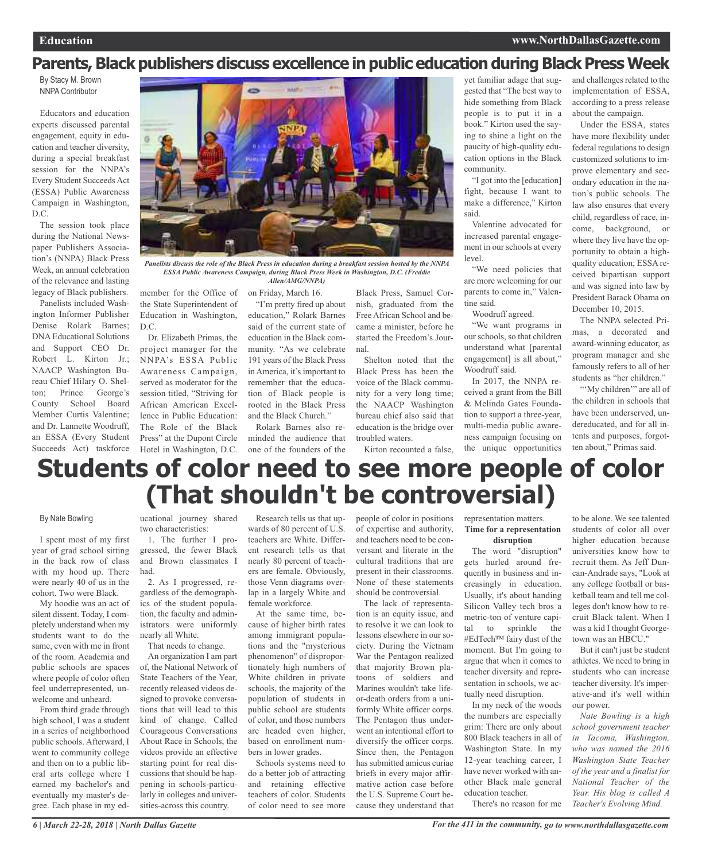## **Parents, Black publishers discuss excellence in public education during Black Press Week**

By Stacy M. Brown NNPA Contributor

Educators and education experts discussed parental engagement, equity in education and teacher diversity, during a special breakfast session for the NNPA's Every Student Succeeds Act (ESSA) Public Awareness Campaign in Washington, D.C.

The session took place during the National Newspaper Publishers Association's (NNPA) Black Press Week, an annual celebration of the relevance and lasting legacy of Black publishers.

Panelists included Washington Informer Publisher Denise Rolark Barnes; DNA Educational Solutions and Support CEO Dr. Robert L. Kirton Jr.; NAACP Washington Bureau Chief Hilary O. Shelton; Prince George's County School Board Member Curtis Valentine; and Dr. Lannette Woodruff, an ESSA (Every Student Succeeds Act) taskforce



Panelists discuss the role of the Black Press in education during a breakfast session hosted by the NNPA *ESSA Public Awareness Campaign, during Black Press Week in Washington, D.C. (Freddie Allen/AMG/NNPA)*

member for the Office of the State Superintendent of Education in Washington, D.C.

Dr. Elizabeth Primas, the project manager for the NNPA's ESSA Public Awareness Campaign, served as moderator for the session titled, "Striving for African American Excellence in Public Education: The Role of the Black Press" at the Dupont Circle Hotel in Washington, D.C.

on Friday, March 16.

"I'm pretty fired up about education," Rolark Barnes said of the current state of education in the Black community. "As we celebrate 191 years of the Black Press in America, it's important to remember that the education of Black people is rooted in the Black Press and the Black Church."

Rolark Barnes also reminded the audience that one of the founders of the

Black Press, Samuel Cornish, graduated from the Free African School and became a minister, before he started the Freedom's Journal.

Shelton noted that the Black Press has been the voice of the Black community for a very long time; the NAACP Washington bureau chief also said that education is the bridge over troubled waters.

Kirton recounted a false,

yet familiar adage that suggested that "The best way to hide something from Black people is to put it in a book." Kirton used the saying to shine a light on the paucity of high-quality education options in the Black community.

"I got into the [education] fight, because I want to make a difference," Kirton said.

Valentine advocated for increased parental engagement in our schools at every level.

"We need policies that are more welcoming for our parents to come in," Valentine said.

Woodruff agreed.

"We want programs in our schools, so that children understand what [parental engagement] is all about," Woodruff said.

In 2017, the NNPA received a grant from the Bill & Melinda Gates Foundation to support a three-year, multi-media public awareness campaign focusing on the unique opportunities and challenges related to the implementation of ESSA, according to a press release about the campaign.

Under the ESSA, states have more flexibility under federal regulations to design customized solutions to improve elementary and secondary education in the nation's public schools. The law also ensures that every child, regardless of race, income, background, or where they live have the opportunity to obtain a highquality education; ESSA received bipartisan support and was signed into law by President Barack Obama on December 10, 2015.

The NNPA selected Primas, a decorated and award-winning educator, as program manager and she famously refers to all of her students as "her children."

"'My children" are all of the children in schools that have been underserved, undereducated, and for all intents and purposes, forgotten about," Primas said.

## **Students of color need to see more people of color (That shouldn't be controversial)**

#### By Nate Bowling

I spent most of my first year of grad school sitting in the back row of class with my hood up. There were nearly 40 of us in the cohort. Two were Black.

My hoodie was an act of silent dissent. Today, I completely understand when my students want to do the same, even with me in front of the room. Academia and public schools are spaces where people of color often feel underrepresented, unwelcome and unheard.

From third grade through high school, I was a student in a series of neighborhood public schools. Afterward, I went to community college and then on to a public liberal arts college where I earned my bachelor's and eventually my master's degree. Each phase in my educational journey shared two characteristics:

1. The further I progressed, the fewer Black and Brown classmates I had.

2. As I progressed, regardless of the demographics of the student population, the faculty and administrators were uniformly nearly all White.

That needs to change.

An organization I am part of, the National Network of State Teachers of the Year, recently released videos designed to provoke conversations that will lead to this kind of change. Called Courageous Conversations About Race in Schools, the videos provide an effective starting point for real discussions that should be happening in schools-particularly in colleges and universities-across this country.

Research tells us that upwards of 80 percent of U.S. teachers are White. Different research tells us that nearly 80 percent of teachers are female. Obviously, those Venn diagrams overlap in a largely White and female workforce.

At the same time, because of higher birth rates among immigrant populations and the "mysterious phenomenon" of disproportionately high numbers of White children in private schools, the majority of the population of students in public school are students of color, and those numbers are headed even higher, based on enrollment numbers in lower grades.

Schools systems need to do a better job of attracting and retaining effective teachers of color. Students of color need to see more

people of color in positions of expertise and authority, and teachers need to be conversant and literate in the cultural traditions that are present in their classrooms. None of these statements should be controversial.

The lack of representation is an equity issue, and to resolve it we can look to lessons elsewhere in our society. During the Vietnam War the Pentagon realized that majority Brown platoons of soldiers and Marines wouldn't take lifeor-death orders from a uniformly White officer corps. The Pentagon thus underwent an intentional effort to diversify the officer corps. Since then, the Pentagon has submitted amicus curiae briefs in every major affirmative action case before the U.S. Supreme Court because they understand that

representation matters. **Time for a representation disruption**

The word "disruption" gets hurled around frequently in business and increasingly in education. Usually, it's about handing

Silicon Valley tech bros a metric-ton of venture capital to sprinkle the #EdTech™ fairy dust of the moment. But I'm going to argue that when it comes to teacher diversity and representation in schools, we actually need disruption.

In my neck of the woods the numbers are especially grim: There are only about 800 Black teachers in all of Washington State. In my 12-year teaching career, I have never worked with another Black male general education teacher.

There's no reason for me

to be alone. We see talented students of color all over higher education because universities know how to recruit them. As Jeff Duncan-Andrade says, "Look at any college football or basketball team and tell me colleges don't know how to recruit Black talent. When I was a kid I thought Georgetown was an HBCU."

But it can't just be student athletes. We need to bring in students who can increase teacher diversity. It's imperative-and it's well within our power.

*Nate Bowling is a high school government teacher in Tacoma, Washington, who was named the 2016 Washington State Teacher of the year and a finalist for National Teacher of the Year. His blog is called A Teacher's Evolving Mind.*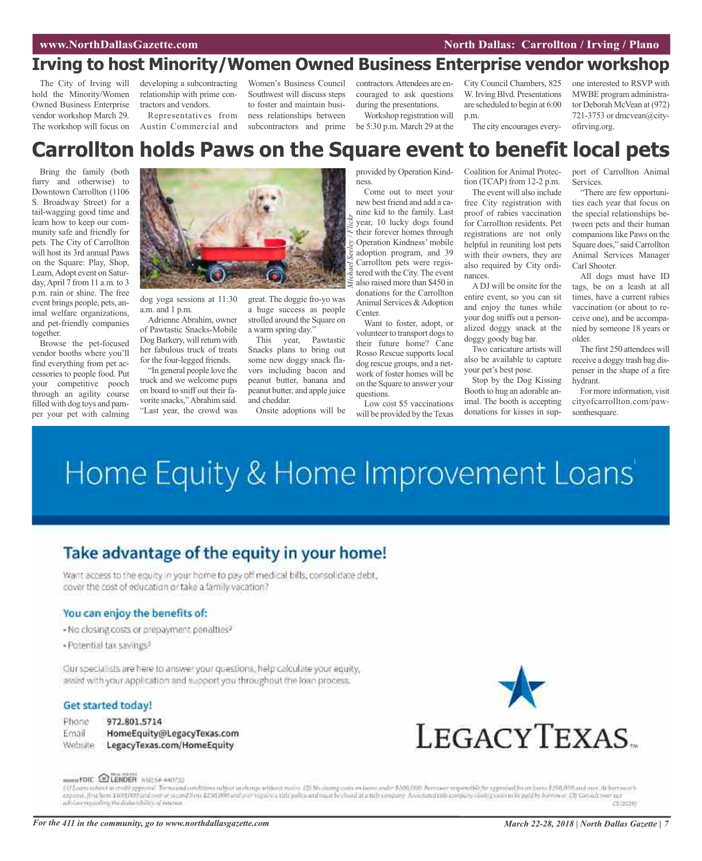## **Irving to host Minority/Women Owned Business Enterprise vendor workshop**

The City of Irving will hold the Minority/Women Owned Business Enterprise vendor workshop March 29. The workshop will focus on developing a subcontracting relationship with prime contractors and vendors.

Representatives from Austin Commercial and

Women's Business Council Southwest will discuss steps to foster and maintain business relationships between subcontractors and prime

contractors.Attendees are encouraged to ask questions during the presentations.

Workshop registration will be 5:30 p.m. March 29 at the

City Council Chambers, 825 W. Irving Blvd. Presentations are scheduled to begin at 6:00 p.m.

The city encourages every-

one interested to RSVP with MWBE program administrator Deborah McVean at (972) 721-3753 or dmcvean@cityofirving.org.

## **Carrollton holds Paws on the Square event to benefit local pets**

Bring the family (both furry and otherwise) to Downtown Carrollton (1106 S. Broadway Street) for a tail-wagging good time and learn how to keep our community safe and friendly for pets. The City of Carrollton will host its 3rd annual Paws on the Square: Play, Shop, Learn, Adopt event on Saturday,April 7 from 11 a.m. to 3 p.m. rain or shine. The free event brings people, pets, animal welfare organizations, and pet-friendly companies together.

Browse the pet-focused vendor booths where you'll find everything from pet accessories to people food. Put your competitive pooch through an agility course filled with dog toys and pamper your pet with calming



dog yoga sessions at 11:30 a.m. and 1 p.m.

Adrienne Abrahim, owner of Pawtastic Snacks-Mobile Dog Barkery, will return with her fabulous truck of treats for the four-legged friends.

"In general people love the truck and we welcome pups on board to sniff out their favorite snacks,"Abrahim said. "Last year, the crowd was

great. The doggie fro-yo was a huge success as people strolled around the Square on a warm spring day."

This year, Pawtastic Snacks plans to bring out some new doggy snack flavors including bacon and peanut butter, banana and peanut butter, and apple juice and cheddar.

Onsite adoptions will be

provided by Operation Kindness.

Come out to meet your new best friend and add a canine kid to the family. Last year, 10 lucky dogs found their forever homes through Operation Kindness' mobile adoption program, and 39 Carrollton pets were registered with the City.The event also raised more than \$450 in donations for the Carrollton Animal Services & Adoption Center.

Want to foster, adopt, or volunteer to transport dogs to their future home? Cane Rosso Rescue supports local dog rescue groups, and a network of foster homes will be on the Square to answer your questions.

Low cost \$5 vaccinations will be provided by the Texas Coalition for Animal Protection (TCAP) from 12-2 p.m.

The event will also include free City registration with proof of rabies vaccination for Carrollton residents. Pet registrations are not only helpful in reuniting lost pets with their owners, they are also required by City ordinances.

A DJ will be onsite for the entire event, so you can sit and enjoy the tunes while your dog sniffs out a personalized doggy snack at the doggy goody bag bar.

Two caricature artists will also be available to capture your pet's best pose.

Stop by the Dog Kissing Booth to hug an adorable animal. The booth is accepting donations for kisses in support of Carrollton Animal Services.

"There are few opportunities each year that focus on the special relationships between pets and their human companions like Paws on the Square does," said Carrollton Animal Services Manager Carl Shooter.

All dogs must have ID tags, be on a leash at all times, have a current rabies vaccination (or about to receive one), and be accompanied by someone 18 years or older.

The first 250 attendees will receive a doggy trash bag dispenser in the shape of a fire hydrant.

For more information, visit cityofcarrollton.com/pawsonthesquare.

## Home Equity & Home Improvement Loans'

## Take advantage of the equity in your home!

Want access to the equity in your home to pay off medical bills, consolidate debt, cover the cost of education or take a family vacation?

## You can enjoy the benefits of:

- No closing costs or prepayment penalties?
- · Potential tax savings<sup>3</sup>

Our specialists are here to answer your questions, help calculate your equity, assist with your application and support you throughout the loan process.

## Get started today!

- Phone 972.801.5714
- Email HomeEquity@LegacyTexas.com Website LegacyTexas.com/HomeEquity



#### ROWN FOIC EILENDER NAILSE ANOTIC

f if Loans rubject to credit approval. Them sond conditions rubject to damp retinant rubs. (2) No claim govern and material and and and material material and and the second of the second conditions of the second term in a inhóire eiginding thosholantibility of interest. создар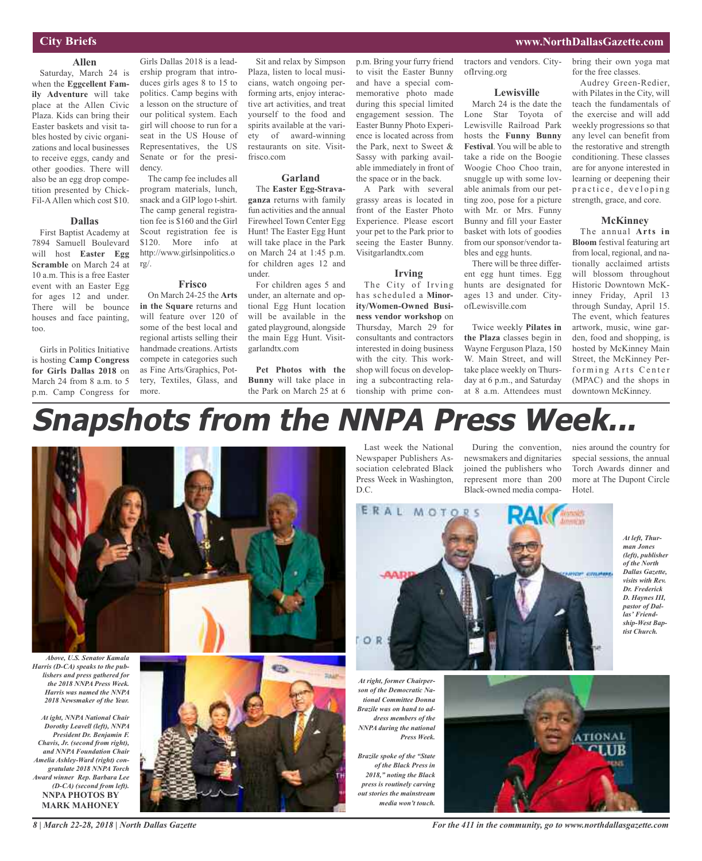## **City Briefs**

## **Allen** Saturday, March 24 is

when the **Eggcellent Family Adventure** will take place at the Allen Civic Plaza. Kids can bring their Easter baskets and visit tables hosted by civic organizations and local businesses to receive eggs, candy and other goodies. There will also be an egg drop competition presented by Chick-Fil-AAllen which cost \$10.

## **Dallas**

First Baptist Academy at 7894 Samuell Boulevard will host **Easter Egg Scramble** on March 24 at 10 a.m. This is a free Easter event with an Easter Egg for ages 12 and under. There will be bounce houses and face painting, too.

Girls in Politics Initiative is hosting **Camp Congress for Girls Dallas 2018** on March 24 from 8 a.m. to 5 p.m. Camp Congress for

Girls Dallas 2018 is a leadership program that introduces girls ages 8 to 15 to politics. Camp begins with a lesson on the structure of our political system. Each girl will choose to run for a seat in the US House of Representatives, the US Senate or for the presidency.

The camp fee includes all program materials, lunch, snack and a GIP logo t-shirt. The camp general registration fee is \$160 and the Girl Scout registration fee is \$120. More info at http://www.girlsinpolitics.o rg/.

#### **Frisco**

On March 24-25 the **Arts in the Square** returns and will feature over 120 of some of the best local and regional artists selling their handmade creations. Artists compete in categories such as Fine Arts/Graphics, Pottery, Textiles, Glass, and more.

Sit and relax by Simpson Plaza, listen to local musicians, watch ongoing performing arts, enjoy interactive art activities, and treat yourself to the food and spirits available at the variety of award-winning restaurants on site. Visitfrisco.com

#### **Garland**

The **Easter Egg-Stravaganza** returns with family fun activities and the annual Firewheel Town Center Egg Hunt! The Easter Egg Hunt will take place in the Park on March 24 at 1:45 p.m. for children ages 12 and under.

For children ages 5 and under, an alternate and optional Egg Hunt location will be available in the gated playground, alongside the main Egg Hunt. Visitgarlandtx.com

**Pet Photos with the Bunny** will take place in the Park on March 25 at 6 p.m. Bring your furry friend to visit the Easter Bunny and have a special commemorative photo made during this special limited engagement session. The Easter Bunny Photo Experience is located across from the Park, next to Sweet & Sassy with parking available immediately in front of the space or in the back.

A Park with several grassy areas is located in front of the Easter Photo Experience. Please escort your pet to the Park prior to seeing the Easter Bunny. Visitgarlandtx.com

#### **Irving**

The City of Irving has scheduled a **Minority/Women-Owned Business vendor workshop** on Thursday, March 29 for consultants and contractors interested in doing business with the city. This workshop will focus on developing a subcontracting relationship with prime contractors and vendors. CityofIrving.org

#### **Lewisville**

March 24 is the date the Lone Star Toyota of Lewisville Railroad Park hosts the **Funny Bunny Festival**. You will be able to take a ride on the Boogie Woogie Choo Choo train, snuggle up with some lovable animals from our petting zoo, pose for a picture with Mr. or Mrs. Funny Bunny and fill your Easter basket with lots of goodies from our sponsor/vendor tables and egg hunts.

There will be three different egg hunt times. Egg hunts are designated for ages 13 and under. CityofLewisville.com

Twice weekly **Pilates in the Plaza** classes begin in Wayne Ferguson Plaza, 150 W. Main Street, and will take place weekly on Thursday at 6 p.m., and Saturday at 8 a.m. Attendees must bring their own yoga mat for the free classes.

**www.NorthDallasGazette.com**

Audrey Green-Redier, with Pilates in the City, will teach the fundamentals of the exercise and will add weekly progressions so that any level can benefit from the restorative and strength conditioning. These classes are for anyone interested in learning or deepening their practice, developing strength, grace, and core.

#### **McKinney**

The annual **Arts in Bloom** festival featuring art from local, regional, and nationally acclaimed artists will blossom throughout Historic Downtown McKinney Friday, April 13 through Sunday, April 15. The event, which features artwork, music, wine garden, food and shopping, is hosted by McKinney Main Street, the McKinney Performing Arts Center (MPAC) and the shops in downtown McKinney.

## **Snapshots from the NNPA Press Week...**



*Above, U.S. Senator Kamala Harris (D-CA) speaks to the publishers and press gathered for the 2018 NNPA Press Week. Harris was named the NNPA 2018 Newsmaker of the Year.*

*At ight, NNPA National Chair Dorothy Leavell (left), NNPA President Dr. Benjamin F. Chavis, Jr. (second from right), and NNPA Foundation Chair Amelia Ashley-Ward (right) congratulate 2018 NNPA Torch Award winner Rep. Barbara Lee (D-CA) (second from left).* **NNPA PHOTOS BY MARK MAHONEY**

*8 | March 22-28, 2018 | North Dallas Gazette*



Last week the National Newspaper Publishers Association celebrated Black Press Week in Washington, D.C.

During the convention, newsmakers and dignitaries joined the publishers who represent more than 200 Black-owned media companies around the country for special sessions, the annual Torch Awards dinner and more at The Dupont Circle Hotel.

**ERAL MOTORS** OR

*At left, Thurman Jones (left), publisher of the North Dallas Gazette, visits with Rev. Dr. Frederick D. Haynes III, pastor of Dallas' Friendship-West Baptist Church.*

*At right, former Chairperson of the Democratic National Committee Donna Brazile was on hand to address members of the NNPA during the national Press Week.*

*Brazile spoke of the "State of the Black Press in 2018," noting the Black press is routinely carving out stories the mainstream media won't touch.*



*For the 411 in the community, go to www.northdallasgazette.com*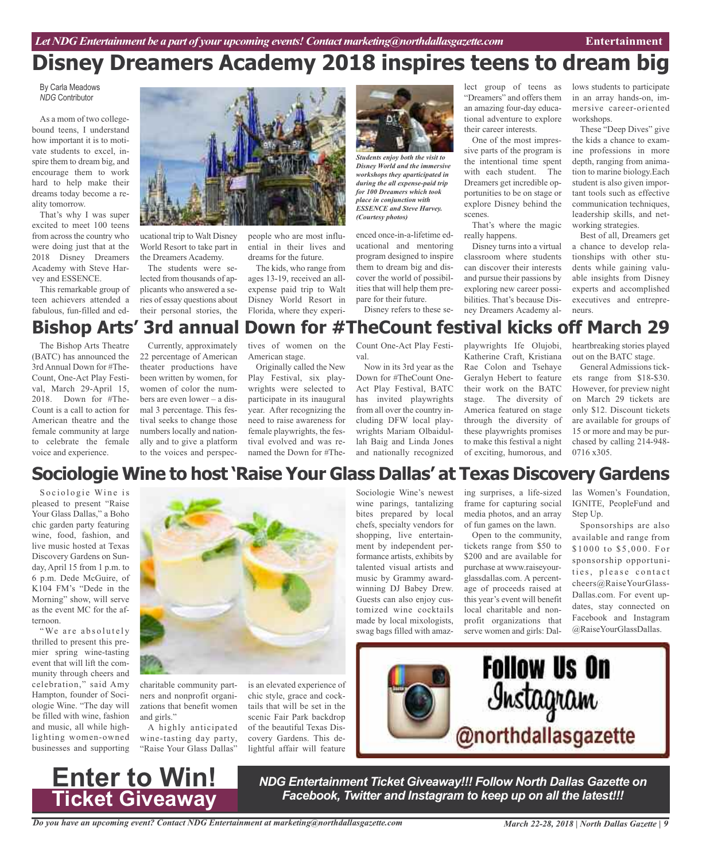## **Disney Dreamers Academy 2018 inspires teens to dream big**

By Carla Meadows *NDG* Contributor

As a mom of two collegebound teens, I understand how important it is to motivate students to excel, inspire them to dream big, and encourage them to work hard to help make their dreams today become a reality tomorrow.

That's why I was super excited to meet 100 teens from across the country who were doing just that at the 2018 Disney Dreamers Academy with Steve Harvey and ESSENCE.

This remarkable group of teen achievers attended a fabulous, fun-filled and ed-



ucational trip to Walt Disney World Resort to take part in the Dreamers Academy.

The students were selected from thousands of applicants who answered a series of essay questions about their personal stories, the

people who are most influential in their lives and dreams for the future.

The kids, who range from ages 13-19, received an allexpense paid trip to Walt Disney World Resort in Florida, where they experi-



*Students enjoy both the visit to Disney World and the immersive workshops they aparticipated in during the all expense-paid trip for 100 Dreamers which took place in conjunction with ESSENCE and Steve Harvey. (Courtesy photos)*

enced once-in-a-lifetime educational and mentoring program designed to inspire them to dream big and discover the world of possibilities that will help them prepare for their future.

Disney refers to these se-

lect group of teens as "Dreamers" and offers them an amazing four-day educational adventure to explore their career interests.

One of the most impressive parts of the program is the intentional time spent with each student. The Dreamers get incredible opportunities to be on stage or explore Disney behind the scenes.

That's where the magic really happens.

Disney turns into a virtual classroom where students can discover their interests and pursue their passions by exploring new career possibilities. That's because Disney Dreamers Academy allows students to participate in an array hands-on, immersive career-oriented workshops.

These "Deep Dives" give the kids a chance to examine professions in more depth, ranging from animation to marine biology.Each student is also given important tools such as effective communication techniques, leadership skills, and networking strategies.

Best of all, Dreamers get a chance to develop relationships with other students while gaining valuable insights from Disney experts and accomplished executives and entrepreneurs.

## **Bishop Arts' 3rd annual Down for #TheCount festival kicks off March 29**

The Bishop Arts Theatre (BATC) has announced the 3rd Annual Down for #The-Count, One-Act Play Festival, March 29-April 15, 2018. Down for #The-Count is a call to action for American theatre and the female community at large to celebrate the female voice and experience.

Currently, approximately 22 percentage of American theater productions have been written by women, for women of color the numbers are even lower – a dismal 3 percentage. This festival seeks to change those numbers locally and nationally and to give a platform to the voices and perspec-

tives of women on the American stage.

Originally called the New Play Festival, six playwrights were selected to participate in its inaugural year. After recognizing the need to raise awareness for female playwrights, the festival evolved and was renamed the Down for #The-

Count One-Act Play Festival.

Now in its 3rd year as the Down for #TheCount One-Act Play Festival, BATC has invited playwrights from all over the country including DFW local playwrights Mariam Olbaidullah Baig and Linda Jones and nationally recognized playwrights Ife Olujobi, Katherine Craft, Kristiana Rae Colon and Tsehaye Geralyn Hebert to feature their work on the BATC stage. The diversity of America featured on stage through the diversity of these playwrights promises to make this festival a night of exciting, humorous, and heartbreaking stories played out on the BATC stage.

General Admissions tickets range from \$18-\$30. However, for preview night on March 29 tickets are only \$12. Discount tickets are available for groups of 15 or more and may be purchased by calling 214-948- 0716 x305.

## **Sociologie Wine to host 'Raise Your Glass Dallas' at Texas Discovery Gardens**

Sociologie Wine is pleased to present "Raise Your Glass Dallas," a Boho chic garden party featuring wine, food, fashion, and live music hosted at Texas Discovery Gardens on Sunday, April 15 from 1 p.m. to 6 p.m. Dede McGuire, of K104 FM's "Dede in the Morning" show, will serve as the event MC for the afternoon.

"We are absolutely thrilled to present this premier spring wine-tasting event that will lift the community through cheers and celebration," said Amy Hampton, founder of Sociologie Wine. "The day will be filled with wine, fashion and music, all while highlighting women-owned businesses and supporting



charitable community partners and nonprofit organizations that benefit women and girls."

A highly anticipated wine-tasting day party, "Raise Your Glass Dallas"

is an elevated experience of chic style, grace and cocktails that will be set in the scenic Fair Park backdrop of the beautiful Texas Discovery Gardens. This delightful affair will feature

Sociologie Wine's newest wine parings, tantalizing bites prepared by local chefs, specialty vendors for shopping, live entertainment by independent performance artists, exhibits by talented visual artists and music by Grammy awardwinning DJ Babey Drew. Guests can also enjoy customized wine cocktails made by local mixologists, swag bags filled with amazing surprises, a life-sized frame for capturing social media photos, and an array of fun games on the lawn.

Open to the community, tickets range from \$50 to \$200 and are available for purchase at www.raiseyourglassdallas.com. A percentage of proceeds raised at this year's event will benefit local charitable and nonprofit organizations that serve women and girls: Dallas Women's Foundation, IGNITE, PeopleFund and Step Up.

Sponsorships are also available and range from \$1000 to \$5,000. For sponsorship opportunities, please contact cheers@RaiseYourGlass-Dallas.com. For event updates, stay connected on Facebook and Instagram @RaiseYourGlassDallas.





*NDG Entertainment Ticket Giveaway!!! Follow North Dallas Gazette on Facebook, Twitter and Instagram to keep up on all the latest!!!*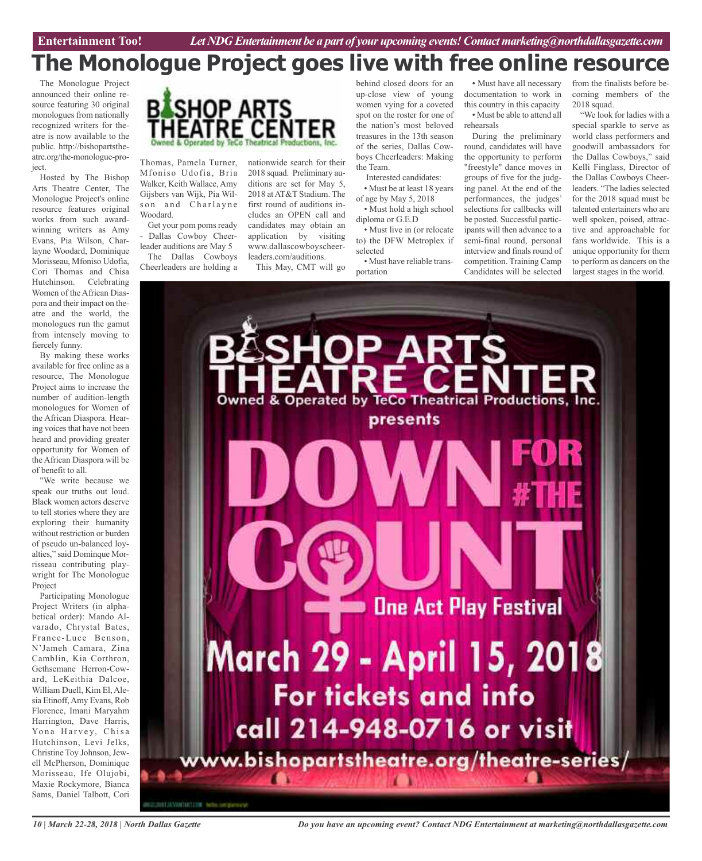## **The Monologue Project goes live with free online resource**

The Monologue Project announced their online resource featuring 30 original monologues from nationally recognized writers for theatre is now available to the public. http://bishopartstheatre.org/the-monologue-project.

Hosted by The Bishop Arts Theatre Center, The Monologue Project's online resource features original works from such awardwinning writers as Amy Evans, Pia Wilson, Charlayne Woodard, Dominique Morisseau, Mfoniso Udofia, Cori Thomas and Chisa Hutchinson. Celebrating Women of the African Diaspora and their impact on theatre and the world, the monologues run the gamut from intensely moving to fiercely funny.

By making these works available for free online as a resource, The Monologue Project aims to increase the number of audition-length monologues for Women of the African Diaspora. Hearing voices that have not been heard and providing greater opportunity for Women of the African Diaspora will be of benefit to all.

"We write because we speak our truths out loud. Black women actors deserve to tell stories where they are exploring their humanity without restriction or burden of pseudo un-balanced loyalties," said Dominque Morrisseau contributing playwright for The Monologue Project

Participating Monologue Project Writers (in alphabetical order): Mando Alvarado, Chrystal Bates, France-Luce Benson, N'Jameh Camara, Zina Camblin, Kia Corthron, Gethsemane Herron-Coward, LeKeithia Dalcoe, William Duell, Kim El, Alesia Etinoff,Amy Evans, Rob Florence, Imani Maryahm Harrington, Dave Harris, Yona Harvey, Chisa Hutchinson, Levi Jelks, Christine Toy Johnson, Jewell McPherson, Dominique Morisseau, Ife Olujobi, Maxie Rockymore, Bianca Sams, Daniel Talbott, Cori



Thomas, Pamela Turner, Mfoniso Udofia, Bria Walker, Keith Wallace,Amy Gijsbers van Wijk, Pia Wilson and Charlayne Woodard.

Get your pom poms ready - Dallas Cowboy Cheerleader auditions are May 5

The Dallas Cowboys Cheerleaders are holding a nationwide search for their 2018 squad. Preliminary auditions are set for May 5, 2018 atAT&T Stadium. The first round of auditions includes an OPEN call and candidates may obtain an application by visiting www.dallascowboyscheerleaders.com/auditions.

This May, CMT will go

behind closed doors for an up-close view of young women vying for a coveted spot on the roster for one of the nation's most beloved treasures in the 13th season of the series, Dallas Cowboys Cheerleaders: Making the Team.

Interested candidates: • Must be at least 18 years of age by May 5, 2018

• Must hold a high school diploma or G.E.D

• Must live in (or relocate to) the DFW Metroplex if selected

• Must have reliable transportation

• Must have all necessary documentation to work in this country in this capacity • Must be able to attend all rehearsals

During the preliminary round, candidates will have the opportunity to perform "freestyle" dance moves in groups of five for the judging panel. At the end of the performances, the judges' selections for callbacks will be posted. Successful participants will then advance to a semi-final round, personal interview and finals round of competition. Training Camp Candidates will be selected

from the finalists before becoming members of the 2018 squad.

"We look for ladies with a special sparkle to serve as world class performers and goodwill ambassadors for the Dallas Cowboys," said Kelli Finglass, Director of the Dallas Cowboys Cheerleaders. "The ladies selected for the 2018 squad must be talented entertainers who are well spoken, poised, attractive and approachable for fans worldwide. This is a unique opportunity for them to perform as dancers on the largest stages in the world.



*10 | March 22-28, 2018 | North Dallas Gazette*

*Do you have an upcoming event? Contact NDG Entertainment at marketing@northdallasgazette.com*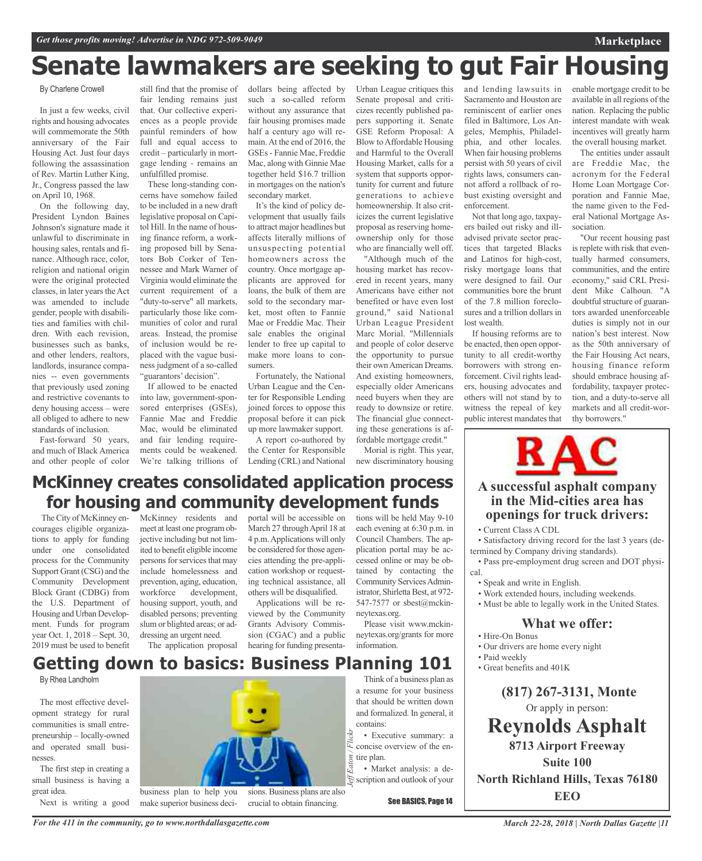## **Senate lawmakers are seeking to gut Fair Housing**

By Charlene Crowell

In just a few weeks, civil rights and housing advocates will commemorate the 50th anniversary of the Fair Housing Act. Just four days following the assassination of Rev. Martin Luther King, Jr., Congress passed the law on April 10, 1968.

On the following day, President Lyndon Baines Johnson's signature made it unlawful to discriminate in housing sales, rentals and finance. Although race, color, religion and national origin were the original protected classes, in later years the Act was amended to include gender, people with disabilities and families with children. With each revision, businesses such as banks, and other lenders, realtors, landlords, insurance companies -- even governments that previously used zoning and restrictive covenants to deny housing access – were all obliged to adhere to new standards of inclusion.

Fast-forward 50 years, and much of Black America and other people of color

The City of McKinney encourages eligible organizations to apply for funding under one consolidated process for the Community Support Grant (CSG) and the Community Development Block Grant (CDBG) from the U.S. Department of Housing and Urban Development. Funds for program year Oct. 1, 2018 – Sept. 30, 2019 must be used to benefit

still find that the promise of fair lending remains just that. Our collective experiences as a people provide painful reminders of how full and equal access to credit – particularly in mortgage lending - remains an unfulfilled promise.

These long-standing concerns have somehow failed to be included in a new draft legislative proposal on Capitol Hill. In the name of housing finance reform, a working proposed bill by Senators Bob Corker of Tennessee and Mark Warner of Virginia would eliminate the current requirement of a "duty-to-serve" all markets, particularly those like communities of color and rural areas. Instead, the promise of inclusion would be replaced with the vague business judgment of a so-called "guarantors' decision".

If allowed to be enacted into law, government-sponsored enterprises (GSEs), Fannie Mae and Freddie Mac, would be eliminated and fair lending requirements could be weakened. We're talking trillions of

McKinney residents and meet at least one program objective including but not limited to benefit eligible income persons for services that may include homelessness and prevention, aging, education, workforce development, housing support, youth, and disabled persons; preventing slum or blighted areas; or addressing an urgent need. The application proposal

dollars being affected by such a so-called reform without any assurance that fair housing promises made half a century ago will remain.At the end of 2016, the GSEs- Fannie Mae, Freddie Mac, along with Ginnie Mae together held \$16.7 trillion in mortgages on the nation's secondary market.

It's the kind of policy development that usually fails to attract major headlines but affects literally millions of unsuspecting potential homeowners across the country. Once mortgage applicants are approved for loans, the bulk of them are sold to the secondary market, most often to Fannie Mae or Freddie Mac. Their sale enables the original lender to free up capital to make more loans to consumers.

Fortunately, the National Urban League and the Center for Responsible Lending joined forces to oppose this proposal before it can pick up more lawmaker support.

A report co-authored by the Center for Responsible Lending (CRL) and National

portal will be accessible on March 27 throughApril 18 at 4 p.m.Applications will only be considered for those agencies attending the pre-application workshop or requesting technical assistance, all others will be disqualified. Applications will be reviewed by the Community Grants Advisory Commission (CGAC) and <sup>a</sup> public hearing for funding presentaUrban League critiques this Senate proposal and criticizes recently published papers supporting it. Senate GSE Reform Proposal: A Blow toAffordable Housing and Harmful to the Overall Housing Market, calls for a system that supports opportunity for current and future generations to achieve homeownership. It also criticizes the current legislative proposal as reserving homeownership only for those who are financially well off.

"Although much of the housing market has recovered in recent years, many Americans have either not benefited or have even lost ground," said National Urban League President Marc Morial. "Millennials and people of color deserve the opportunity to pursue their ownAmerican Dreams. And existing homeowners, especially older Americans need buyers when they are ready to downsize or retire. The financial glue connecting these generations is affordable mortgage credit."

Morial is right. This year, new discriminatory housing

tions will be held May 9-10 each evening at 6:30 p.m. in Council Chambers. The application portal may be accessed online or may be obtained by contacting the Community ServicesAdministrator, Shirletta Best, at 972-547-7577 or sbest@mckin-

neytexas.org.

information.

and lending lawsuits in Sacramento and Houston are reminiscent of earlier ones filed in Baltimore, Los Angeles, Memphis, Philadelphia, and other locales. When fair housing problems persist with 50 years of civil rights laws, consumers cannot afford a rollback of robust existing oversight and enforcement.

Not that long ago, taxpayers bailed out risky and illadvised private sector practices that targeted Blacks and Latinos for high-cost, risky mortgage loans that were designed to fail. Our communities bore the brunt of the 7.8 million foreclosures and a trillion dollars in lost wealth.

If housing reforms are to be enacted, then open opportunity to all credit-worthy borrowers with strong enforcement. Civil rights leaders, housing advocates and others will not stand by to witness the repeal of key public interest mandates that

enable mortgage credit to be available in all regions of the nation. Replacing the public interest mandate with weak incentives will greatly harm the overall housing market.

The entities under assault are Freddie Mac, the acronym for the Federal Home Loan Mortgage Corporation and Fannie Mae, the name given to the Federal National Mortgage Association.

"Our recent housing past is replete with risk that eventually harmed consumers, communities, and the entire economy," said CRL President Mike Calhoun. "A doubtful structure of guarantors awarded unenforceable duties is simply not in our nation's best interest. Now as the 50th anniversary of the Fair Housing Act nears, housing finance reform should embrace housing affordability, taxpayer protection, and a duty-to-serve all markets and all credit-worthy borrowers."



## **A successful asphalt company in the Mid-cities area has openings for truck drivers:**

• Current Class A CDL

• Satisfactory driving record for the last 3 years (determined by Company driving standards).

• Pass pre-employment drug screen and DOT physical.

- Speak and write in English.
- Work extended hours, including weekends.
- Must be able to legally work in the United States.

## **What we offer:**

- Hire-On Bonus
- Our drivers are home every night
- Paid weekly
- Great benefits and 401K

**(817) 267-3131, Monte** Or apply in person: **Reynolds Asphalt 8713 Airport Freeway Suite 100 North Richland Hills, Texas 76180 EEO**

*March 22-28, 2018 | North Dallas Gazette |11*

## **Getting down to basics: Business Planning 101**

**McKinney creates consolidated application process**

**for housing and community development funds**

By Rhea Landholm

The most effective development strategy for rural communities is small entrepreneurship – locally-owned and operated small businesses.

The first step in creating a small business is having a great idea. Next is writing a good



crucial to obtain financing.

make superior business deci-

Think of a business plan as contains:

- *Eaton / Flickr* Eaton tire plan.
- *Jeff* scription and outlook of your

See BASICS, Page 14

a resume for your business that should be written down and formalized. In general, it

Please visit www.mckinneytexas.org/grants for more

- Executive summary: a concise overview of the en-
- Market analysis: a de-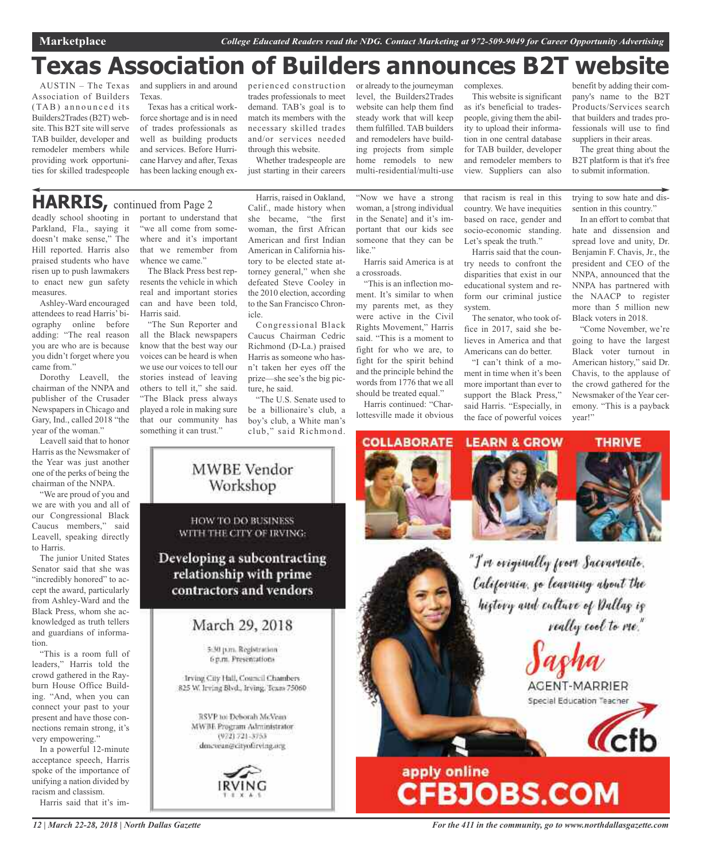## **Texas Association of Builders announces B2T website**

AUSTIN – The Texas and suppliers in and around Association of Builders (TAB) announced its Builders2Trades(B2T) website. This B2T site will serve TAB builder, developer and remodeler members while providing work opportunities for skilled tradespeople

Texas.

Texas has a critical workforce shortage and is in need of trades professionals as well as building products and services. Before Hurricane Harvey and after, Texas has been lacking enough experienced construction trades professionals to meet demand. TAB's goal is to match its members with the necessary skilled trades and/or services needed through this website.

Whether tradespeople are just starting in their careers or already to the journeyman level, the Builders2Trades website can help them find steady work that will keep them fulfilled. TAB builders and remodelers have building projects from simple home remodels to new multi-residential/multi-use

"Now we have a strong woman, a [strong individual in the Senate] and it's important that our kids see someone that they can be like."

Harris said America is at a crossroads.

"This is an inflection moment. It's similar to when my parents met, as they were active in the Civil Rights Movement," Harris said. "This is a moment to fight for who we are, to fight for the spirit behind and the principle behind the words from 1776 that we all should be treated equal."

Harris continued: "Charlottesville made it obvious

complexes.

system.

This website is significant as it's beneficial to tradespeople, giving them the ability to upload their information in one central database for TAB builder, developer and remodeler members to view. Suppliers can also

based on race, gender and socio-economic standing. Let's speak the truth." Harris said that the country needs to confront the disparities that exist in our educational system and reform our criminal justice

The senator, who took office in 2017, said she believes in America and that Americans can do better. "I can't think of a moment in time when it's been more important than ever to support the Black Press," said Harris. "Especially, in the face of powerful voices

that racism is real in this country. We have inequities trying to sow hate and dissention in this country."

In an effort to combat that hate and dissension and spread love and unity, Dr. Benjamin F. Chavis, Jr., the president and CEO of the NNPA, announced that the NNPA has partnered with the NAACP to register more than 5 million new Black voters in 2018.

benefit by adding their company's name to the B2T Products/Services search that builders and trades pro-

"Come November, we're going to have the largest Black voter turnout in American history," said Dr. Chavis, to the applause of the crowd gathered for the Newsmaker of the Year ceremony. "This is a payback year!"

fessionals will use to find suppliers in their areas. The great thing about the B2T platform is that it's free to submit information.

## **HARRIS,** continued from Page <sup>2</sup>

deadly school shooting in Parkland, Fla., saying it doesn't make sense," The Hill reported. Harris also praised students who have risen up to push lawmakers to enact new gun safety measures.

Ashley-Ward encouraged attendees to read Harris' biography online before adding: "The real reason you are who are is because you didn't forget where you came from."

Dorothy Leavell, the chairman of the NNPA and publisher of the Crusader Newspapers in Chicago and Gary, Ind., called 2018 "the year of the woman."

Leavell said that to honor Harris as the Newsmaker of the Year was just another one of the perks of being the chairman of the NNPA.

"We are proud of you and we are with you and all of our Congressional Black Caucus members," said Leavell, speaking directly to Harris.

The junior United States Senator said that she was "incredibly honored" to accept the award, particularly from Ashley-Ward and the Black Press, whom she acknowledged as truth tellers and guardians of information.

"This is a room full of leaders," Harris told the crowd gathered in the Rayburn House Office Building. "And, when you can connect your past to your present and have those connections remain strong, it's very empowering."

In a powerful 12-minute acceptance speech, Harris spoke of the importance of unifying a nation divided by racism and classism.

Harris said that it's im-

portant to understand that "we all come from somewhere and it's important that we remember from whence we came."

The Black Press best represents the vehicle in which real and important stories can and have been told, Harris said.

"The Sun Reporter and all the Black newspapers know that the best way our voices can be heard is when we use our voices to tell our stories instead of leaving others to tell it," she said. "The Black press always played a role in making sure that our community has something it can trust."

Harris, raised in Oakland, Calif., made history when she became, "the first woman, the first African American and first Indian American in California history to be elected state attorney general," when she defeated Steve Cooley in the 2010 election, according to the San Francisco Chronicle.

Congressional Black Caucus Chairman Cedric Richmond (D-La.) praised Harris as someone who hasn't taken her eyes off the prize—she see's the big picture, he said.

"The U.S. Senate used to be a billionaire's club, a boy's club, a White man's club," said Richmond.





**THRIVE** 

"I've eviginally from Sacramente. California, go learning about the history and culture of Dallag is really cool to me."

AGENT-MARRIER

Special Education Teacher



# apply online<br>CFBJOBS.COM

*12 | March 22-28, 2018 | North Dallas Gazette*

*For the 411 in the community, go to www.northdallasgazette.com*

**MWBE** Vendor Workshop

HOW TO DO BUSINESS WITH THE CITY OF IRVING:

Developing a subcontracting relationship with prime contractors and vendors

March 29, 2018

5:30 p.m. Registration 6 p.m. Presentations

Irving City Hall, Council Chambers 825 W. Irving Blvd., Irving, Texas 75060

RSVP to: Deborah McVean MWBE Program Administrator (972) 721-3753 dmewan@cityofreving.org

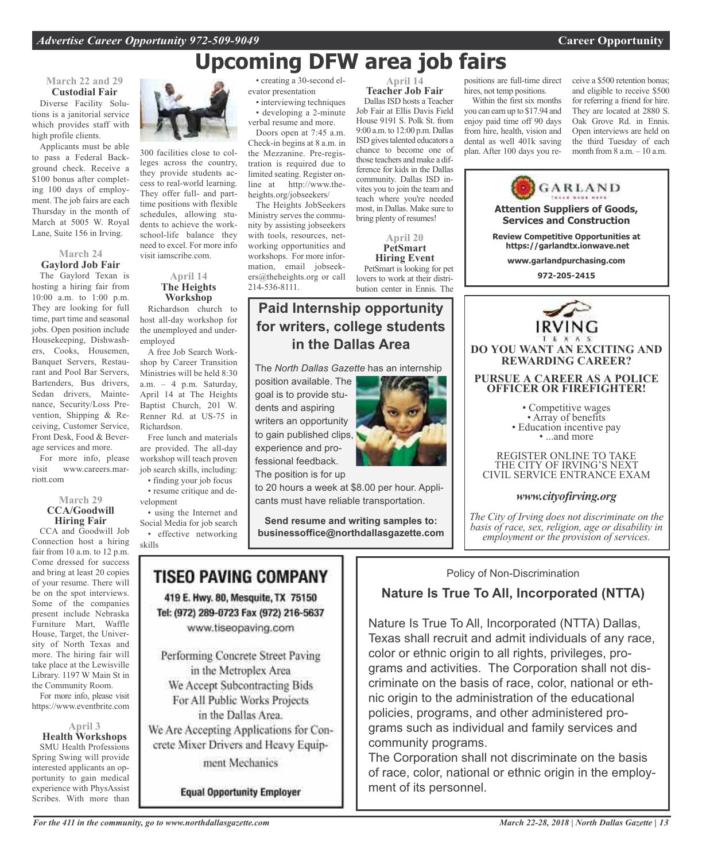## **Upcoming DFW area job fairs**

#### **March 22 and 29 Custodial Fair**

Diverse Facility Solutions is a janitorial service which provides staff with high profile clients.

Applicants must be able to pass a Federal Background check. Receive a \$100 bonus after completing 100 days of employment. The job fairs are each Thursday in the month of March at 5005 W. Royal Lane, Suite 156 in Irving.

#### **March 24 Gaylord Job Fair**

The Gaylord Texan is hosting a hiring fair from 10:00 a.m. to 1:00 p.m. They are looking for full time, part time and seasonal jobs. Open position include Housekeeping, Dishwashers, Cooks, Housemen, Banquet Servers, Restaurant and Pool Bar Servers, Bartenders, Bus drivers, Sedan drivers, Maintenance, Security/Loss Prevention, Shipping & Receiving, Customer Service, Front Desk, Food & Beverage services and more.

For more info, please visit www.careers.marriott.com

#### **March 29 CCA/Goodwill Hiring Fair**

CCA and Goodwill Job Connection host a hiring fair from 10 a.m. to 12 p.m. Come dressed for success and bring at least 20 copies of your resume. There will be on the spot interviews. Some of the companies present include Nebraska Furniture Mart, Waffle House, Target, the University of North Texas and more. The hiring fair will take place at the Lewisville Library. 1197 W Main St in the Community Room.

For more info, please visit https://www.eventbrite.com

**April 3 Health Workshops** SMU Health Professions Spring Swing will provide interested applicants an opportunity to gain medical experience with PhysAssist Scribes. With more than

*For the 411 in the community, go to www.northdallasgazette.com*



300 facilities close to colleges across the country, they provide students access to real-world learning. They offer full- and parttime positions with flexible schedules, allowing students to achieve the workschool-life balance they need to excel. For more info visit iamscribe.com.

> **April 14 The Heights Workshop**

Richardson church to host all-day workshop for the unemployed and underemployed

A free Job Search Workshop by Career Transition Ministries will be held 8:30 a.m. – 4 p.m. Saturday, April 14 at The Heights Baptist Church, 201 W. Renner Rd. at US-75 in Richardson.

Free lunch and materials are provided. The all-day workshop will teach proven job search skills, including:

- finding your job focus • resume critique and de-
- velopment

• using the Internet and Social Media for job search • effective networking skills

• creating a 30-second elevator presentation

• interviewing techniques • developing a 2-minute verbal resume and more.

Doors open at 7:45 a.m. Check-in begins at 8 a.m. in the Mezzanine. Pre-registration is required due to limited seating. Register online at http://www.theheights.org/jobseekers/

The Heights JobSeekers Ministry serves the community by assisting jobseekers with tools, resources, networking opportunities and workshops. For more information, email jobseekers@theheights.org or call 214-536-8111.

Dallas ISD hosts a Teacher Job Fair at Ellis Davis Field House 9191 S. Polk St. from 9:00 a.m. to 12:00 p.m. Dallas ISD gives talented educators a chance to become one of those teachers and make a dif-

ference for kids in the Dallas community. Dallas ISD invites you to join the team and teach where you're needed

lovers to work at their distribution center in Ennis. The

**April 14 Teacher Job Fair**

positions are full-time direct hires, not temp positions. Within the first six months

you can earn up to \$17.94 and enjoy paid time off 90 days from hire, health, vision and dental as well 401k saving plan. After 100 days you receive a \$500 retention bonus; and eligible to receive \$500 for referring a friend for hire. They are located at 2880 S. Oak Grove Rd. in Ennis. Open interviews are held on the third Tuesday of each month from 8 a.m. – 10 a.m.



## *www.cityofirving.org*

*The City of Irving does not discriminate on the basis of race, sex, religion, age or disability in employment or the provision of services.*

Policy of Non-Discrimination

## **Nature Is True To All, Incorporated (NTTA)**

Nature Is True To All, Incorporated (NTTA) Dallas, Texas shall recruit and admit individuals of any race, color or ethnic origin to all rights, privileges, programs and activities. The Corporation shall not discriminate on the basis of race, color, national or ethnic origin to the administration of the educational policies, programs, and other administered programs such as individual and family services and community programs.

The Corporation shall not discriminate on the basis of race, color, national or ethnic origin in the employment of its personnel.

The *North Dallas Gazette* has an internship position available. The goal is to provide students and aspiring writers an opportunity to gain published clips, experience and pro-

**Paid Internship opportunity**

**for writers, college students in the Dallas Area**

fessional feedback. The position is for up

to 20 hours a week at \$8.00 per hour. Applicants must have reliable transportation.

**Send resume and writing samples to: businessoffice@northdallasgazette.com**

## **TISEO PAVING COMPANY**

419 E. Hwy. 80, Mesquite, TX 75150 Tel: (972) 289-0723 Fax (972) 216-5637 www.tiseopaving.com

Performing Concrete Street Paving in the Metroplex Area We Accept Subcontracting Bids For All Public Works Projects in the Dallas Area. We Are Accepting Applications for Concrete Mixer Drivers and Heavy Equipment Mechanics

**Equal Opportunity Employer** 

### most, in Dallas. Make sure to bring plenty of resumes! **April 20 PetSmart Hiring Event** PetSmart is looking for pet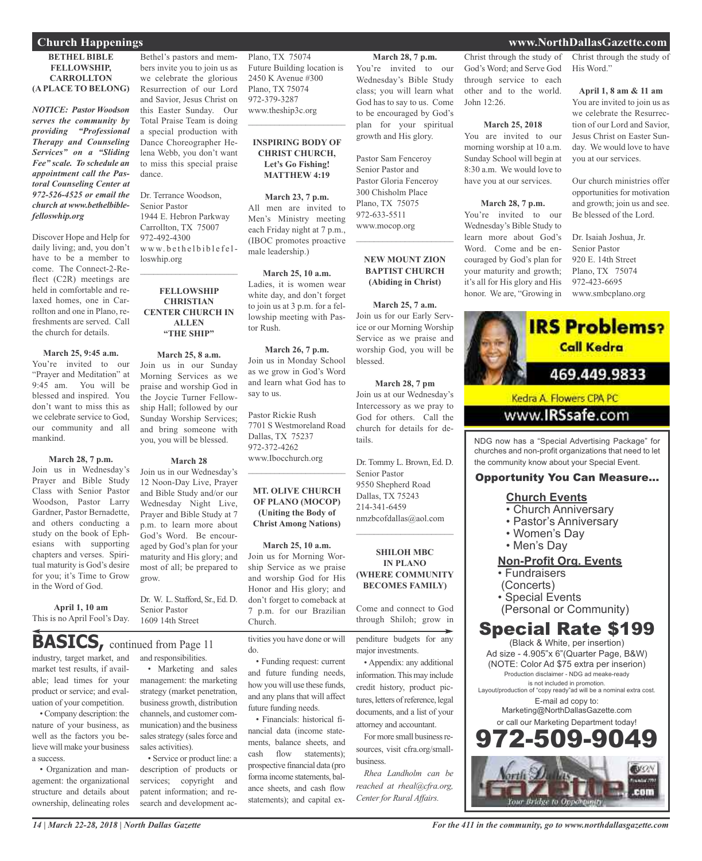#### **BETHEL BIBLE FELLOWSHIP, CARROLLTON (A PLACE TO BELONG)**

*NOTICE: Pastor Woodson serves the community by providing "Professional Therapy and Counseling Services" on a "Sliding Fee" scale. To schedule an appointment call the Pastoral Counseling Center at 972-526-4525 or email the church at www.bethelbiblefelloswhip.org*

Discover Hope and Help for daily living; and, you don't have to be a member to come. The Connect-2-Reflect (C2R) meetings are held in comfortable and relaxed homes, one in Carrollton and one in Plano, refreshments are served. Call the church for details.

**March 25, 9:45 a.m.** You're invited to our "Prayer and Meditation" at 9:45 am. You will be blessed and inspired. You don't want to miss this as we celebrate service to God, our community and all mankind.

## **March 28, 7 p.m.**

Join us in Wednesday's Prayer and Bible Study Class with Senior Pastor Woodson, Pastor Larry Gardner, Pastor Bernadette, and others conducting a study on the book of Ephesians with supporting chapters and verses. Spiritual maturity is God's desire for you; it's Time to Grow in the Word of God.

**April 1, 10 am** This is no April Fool's Day.

industry, target market, and market test results, if avail-**BASICS,** continued from Page <sup>11</sup>

able; lead times for your product or service; and evaluation of your competition.

•Company description: the nature of your business, as well as the factors you believe will make your business a success.

• Organization and management: the organizational structure and details about ownership, delineating roles

Bethel's pastors and members invite you to join us as we celebrate the glorious Resurrection of our Lord and Savior, Jesus Christ on this Easter Sunday. Our Total Praise Team is doing a special production with Dance Choreographer Helena Webb, you don't want to miss this special praise dance.

Dr. Terrance Woodson, Senior Pastor 1944 E. Hebron Parkway Carrollton, TX 75007 972-492-4300 www.bethelbiblefelloswhip.org

### **FELLOWSHIP CHRISTIAN CENTER CHURCH IN ALLEN "THE SHIP"**

 $\mathcal{L}_\text{max}$  , which is a set of the set of the set of the set of the set of the set of the set of the set of the set of the set of the set of the set of the set of the set of the set of the set of the set of the set of

**March 25, 8 a.m.** Join us in our Sunday Morning Services as we praise and worship God in the Joycie Turner Fellowship Hall; followed by our Sunday Worship Services; and bring someone with you, you will be blessed.

#### **March 28**

Join us in our Wednesday's 12 Noon-Day Live, Prayer and Bible Study and/or our Wednesday Night Live, Prayer and Bible Study at 7 p.m. to learn more about God's Word. Be encouraged by God's plan for your maturity and His glory; and most of all; be prepared to grow.

Dr. W. L. Stafford, Sr., Ed. D. Senior Pastor 1609 14th Street

and responsibilities.

• Marketing and sales management: the marketing strategy (market penetration, business growth, distribution channels, and customer communication) and the business sales strategy (sales force and sales activities).

• Service or product line: a description of products or services; copyright and patent information; and research and development acPlano, TX 75074 Future Building location is 2450 K Avenue #300 Plano, TX 75074 972-379-3287 www.theship3c.org  $\overline{\phantom{a}}$  , and the set of the set of the set of the set of the set of the set of the set of the set of the set of the set of the set of the set of the set of the set of the set of the set of the set of the set of the s

#### **INSPIRING BODY OF CHRIST CHURCH, Let's Go Fishing! MATTHEW 4:19**

**March 23, 7 p.m.** All men are invited to Men's Ministry meeting each Friday night at 7 p.m., (IBOC promotes proactive male leadership.)

**March 25, 10 a.m.** Ladies, it is women wear white day, and don't forget to join us at 3 p.m. for a fellowship meeting with Pastor Rush.

**March 26, 7 p.m.** Join us in Monday School as we grow in God's Word and learn what God has to say to us.

Pastor Rickie Rush 7701 S Westmoreland Road Dallas, TX 75237 972-372-4262 www.Ibocchurch.org

**MT. OLIVE CHURCH OF PLANO (MOCOP) (Uniting the Body of Christ Among Nations)**

 $\overline{\phantom{a}}$  , and the set of the set of the set of the set of the set of the set of the set of the set of the set of the set of the set of the set of the set of the set of the set of the set of the set of the set of the s

**March 25, 10 a.m.** Join us for Morning Worship Service as we praise and worship God for His Honor and His glory; and don't forget to comeback at 7 p.m. for our Brazilian Church.

tivities you have done or will

• Funding request: current and future funding needs, how you will use these funds, and any plans that will affect future funding needs.

do.

• Financials: historical financial data (income statements, balance sheets, and cash flow statements); prospective financial data (pro forma income statements, balance sheets, and cash flow statements); and capital ex-

## **March 28, 7 p.m.**

You're invited to our Wednesday's Bible Study class; you will learn what God has to say to us. Come to be encouraged by God's plan for your spiritual growth and His glory.

Pastor Sam Fenceroy Senior Pastor and Pastor Gloria Fenceroy 300 Chisholm Place Plano, TX 75075 972-633-5511 www.mocop.org  $\overline{\phantom{a}}$  , which is a set of the set of the set of the set of the set of the set of the set of the set of the set of the set of the set of the set of the set of the set of the set of the set of the set of the set of th

#### **NEW MOUNT ZION BAPTIST CHURCH (Abiding in Christ)**

**March 25, 7 a.m.** Join us for our Early Service or our Morning Worship Service as we praise and worship God, you will be blessed.

**March 28, 7 pm** Join us at our Wednesday's Intercessory as we pray to God for others. Call the church for details for details.

Dr. Tommy L. Brown, Ed. D. Senior Pastor 9550 Shepherd Road Dallas, TX 75243 214-341-6459 nmzbcofdallas@aol.com  $\mathcal{L}=\mathcal{L}^{\mathcal{L}}$  , where  $\mathcal{L}^{\mathcal{L}}$  , we have the set of the set of the set of the set of the set of the set of the set of the set of the set of the set of the set of the set of the set of the set of the set of

#### **SHILOH MBC IN PLANO (WHERE COMMUNITY BECOMES FAMILY)**

Come and connect to God through Shiloh; grow in

penditure budgets for any major investments.

• Appendix: any additional information. This may include credit history, product pictures, letters of reference, legal documents, and a list of your attorney and accountant.

For more small business resources, visit cfra.org/smallbusiness.

*Rhea Landholm can be reached at rheal@cfra.org, Center for Rural Affairs.*

Christ through the study of God's Word; and Serve God through service to each other and to the world. John  $12.26$ .

#### **March 25, 2018**

You are invited to our morning worship at 10 a.m. Sunday School will begin at 8:30 a.m. We would love to have you at our services.

#### **March 28, 7 p.m.**

You're invited to our Wednesday's Bible Study to learn more about God's Word. Come and be encouraged by God's plan for your maturity and growth; it's all for His glory and His honor. We are, "Growing in Christ through the study of His Word."

**April 1, 8 am & 11 am** You are invited to join us as we celebrate the Resurrection of our Lord and Savior, Jesus Christ on Easter Sunday. We would love to have you at our services.

Our church ministries offer opportunities for motivation and growth; join us and see. Be blessed of the Lord.

Dr. Isaiah Joshua, Jr. Senior Pastor 920 E. 14th Street Plano, TX 75074 972-423-6695 www.smbcplano.org



NDG now has a "Special Advertising Package" for churches and non-profit organizations that need to let the community know about your Special Event.

## Opportunity You Can Measure...

#### **Church Events**

- Church Anniversary
- Pastor's Anniversary
- Women's Day
- Men's Day

## **Non-Profit Org. Events**

• Fundraisers

- (Concerts)
- Special Events
- (Personal or Community)

## Special Rate \$199

(Black & White, per insertion) Ad size - 4.905"x 6"(Quarter Page, B&W) (NOTE: Color Ad \$75 extra per inserion) Production disclaimer - NDG ad meake-ready is not included in promotion. Layout/production of "copy ready"ad will be a nominal extra cost. E-mail ad copy to: Marketing@NorthDallasGazette.com

or call our Marketing Department today! 2.509.90 **BVON** com

## **Church Happenings www.NorthDallasGazette.com**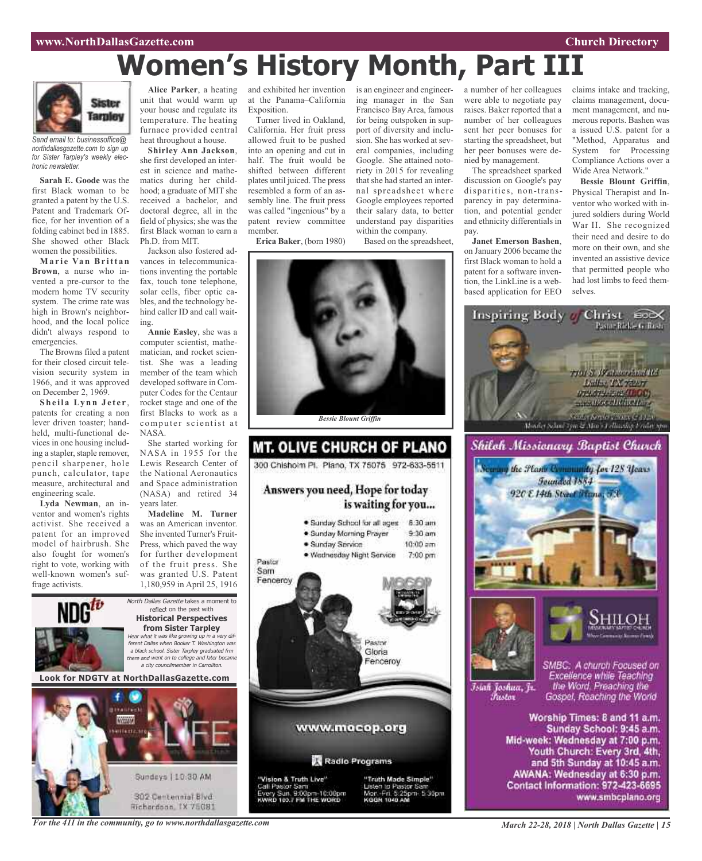## **Women's History Month, Part III**



*Send email to: businessoffice@ northdallasgazette.com to sign up for Sister Tarpley's weekly electronic newsletter.*

**Sarah E. Goode** was the first Black woman to be granted a patent by the U.S. Patent and Trademark Office, for her invention of a folding cabinet bed in 1885. She showed other Black women the possibilities.

**Ma r i e Va n Br itt a n Brown**, a nurse who invented a pre-cursor to the modern home TV security system. The crime rate was high in Brown's neighborhood, and the local police didn't always respond to emergencies.

The Browns filed a patent for their closed circuit television security system in 1966, and it was approved on December 2, 1969.

**S h e i l a Ly n n J e t e r** , patents for creating a non lever driven toaster; handheld, multi-functional devices in one housing including a stapler, staple remover, pencil sharpener, hole punch, calculator, tape measure, architectural and engineering scale.

**Lyda Newman**, an inventor and women's rights activist. She received a patent for an improved model of hairbrush. She also fought for women's right to vote, working with well-known women's suffrage activists.

Alice Parker, a heating and exhibited her invention is an engineer and engineerunit that would warm up your house and regulate its temperature. The heating furnace provided central heat throughout a house.

she first developed an interest in science and mathematics during her childhood; a graduate of MIT she received a bachelor, and doctoral degree, all in the field of physics; she was the first Black woman to earn a Ph.D. from MIT.

Jackson also fostered advances in telecommunications inventing the portable fax, touch tone telephone, solar cells, fiber optic cables, and the technology behind caller ID and call waiting.

**Annie Easley**, she was a computer scientist, mathematician, and rocket scientist. She was a leading member of the team which developed software in Computer Codes for the Centaur rocket stage and one of the first Blacks to work as a computer scientist at NASA.

She started working for NASA in 1955 for the Lewis Research Center of the National Aeronautics and Space administration (NASA) and retired 34 years later.

**Madeline M. Turner** was an American inventor. She invented Turner's Fruit-Press, which paved the way for further development of the fruit press. She was granted U.S. Patent 1,180,959 in April 25, 1916

North Dallas Gazette takes a moment to reflect on the past with **Historical Perspectives from Sister Tarpley** Hear what it was like growing up in <sup>a</sup> very different Dallas when Booker T. Washington was <sup>a</sup> black school. Sister Tarpley graduated frm there and went on to college and later became <sup>a</sup> city councilmember in Carrollton.

**Look for NDGTV at NorthDallasGazette.com**



**Shirley Ann Jackson**,

at the Panama–California Exposition.

Turner lived in Oakland, California. Her fruit press allowed fruit to be pushed into an opening and cut in half. The fruit would be shifted between different plates until juiced. The press resembled a form of an assembly line. The fruit press was called "ingenious" by a patent review committee member.

**Erica Baker**, (born 1980)

ing manager in the San Francisco Bay Area, famous for being outspoken in support of diversity and inclusion. She has worked at several companies, including Google. She attained notoriety in 2015 for revealing that she had started an internal spreadsheet where Google employees reported their salary data, to better understand pay disparities within the company.

Based on the spreadsheet,



**MT. OLIVE CHURCH OF PLANO** 300 Chishoim Pl. Plano, TX 75075 972-633-5511 Answers you need, Hope for today is waiting for you... · Sunday School for all ages 8:30 am · Sunday Morning Prayer  $9:30$  am · Sunday Service  $10:00$  am · Wednesday Night Service 7:00 pm Pastor Sam Fencercy Pastor Gloria Fenceroy www.mocop.org Radio Programs "Vision & Truth Live"<br>Call Pastor Sam<br>Every Sun, 9:00pm-10:00pm<br>KWRD 103.7 FM THE WORD "Vision & Truth Live" "Truth Made Simple" Listen to Pastor San Mort - Fri, 5:25pm - 5:30pm



The spreadsheet sparked discussion on Google's pay disparities, non-transparency in pay determination, and potential gender and ethnicity differentials in pay.

**Janet Emerson Bashen**, on January 2006 became the first Black woman to hold a patent for a software invention, the LinkLine is a webbased application for EEO

claims intake and tracking, claims management, document management, and numerous reports. Bashen was a issued U.S. patent for a "Method, Apparatus and System for Processing Compliance Actions over a Wide Area Network."

**Bessie Blount Griffin**, Physical Therapist and Inventor who worked with injured soldiers during World War II. She recognized their need and desire to do more on their own, and she invented an assistive device that permitted people who had lost limbs to feed themselves.



Īsiah Joshua, Jr. Fustor

SMBC: A church Focused on Excellence while Teaching the Word. Preaching the Gospel, Reaching the World

Worship Times: 8 and 11 a.m. Sunday School: 9:45 a.m. Mid-week: Wednesday at 7:00 p.m. Youth Church: Every 3rd, 4th, and 5th Sunday at 10:45 a.m. AWANA: Wednesday at 6:30 p.m. Contact Information: 972-423-6695 www.smbcplano.org

*For the 411 in the community, go to www.northdallasgazette.com*